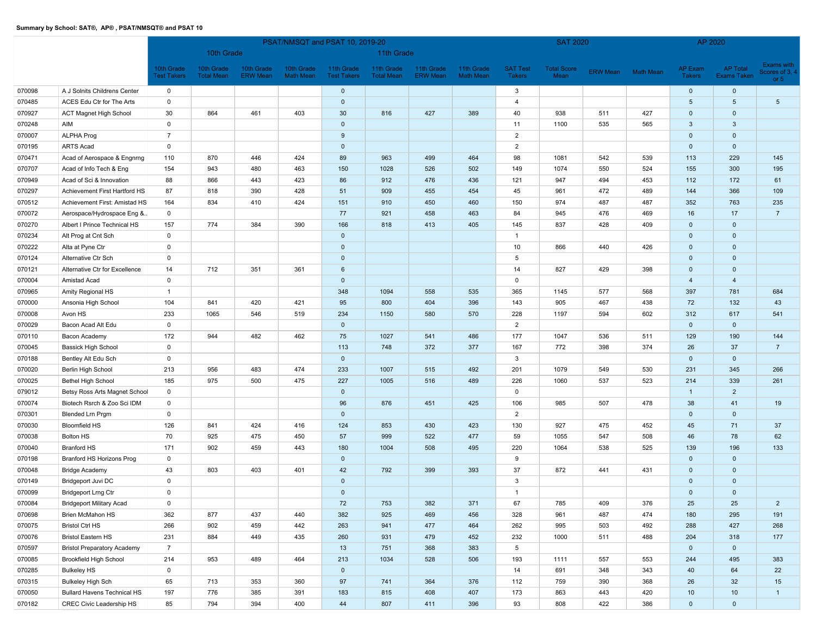|        |                                    |                                  | PSAT/NMSQT and PSAT 10, 2019-20 |                               |                         |                                  |                                 |                               |                                |                                  | <b>SAT 2020</b>            |     |                    | AP 2020                  |                         |                                         |
|--------|------------------------------------|----------------------------------|---------------------------------|-------------------------------|-------------------------|----------------------------------|---------------------------------|-------------------------------|--------------------------------|----------------------------------|----------------------------|-----|--------------------|--------------------------|-------------------------|-----------------------------------------|
|        |                                    |                                  | 10th Grade                      |                               |                         |                                  | 11th Grade                      |                               |                                |                                  |                            |     |                    |                          |                         |                                         |
|        |                                    | 10th Grade<br><b>Test Takers</b> | 10th Grade<br><b>Total Mean</b> | 10th Grade<br><b>ERW Mean</b> | 10th Grade<br>Math Mean | 11th Grade<br><b>Test Takers</b> | 11th Grade<br><b>Total Mean</b> | 11th Grade<br><b>ERW Mean</b> | 11th Grade<br><b>Math Mean</b> | <b>SAT Test</b><br><b>Takers</b> | <b>Total Score</b><br>Mean |     | ERW Mean Math Mean | AP Exam<br><b>Takers</b> | AP Total<br>Exams Taken | Exams with<br>Scores of 3, 4<br>or $51$ |
| 070098 | A J Solnits Childrens Center       | $\mathbf 0$                      |                                 |                               |                         | $\mathbf{0}$                     |                                 |                               |                                | 3                                |                            |     |                    | $\mathbf{0}$             | $\mathbf 0$             |                                         |
| 070485 | ACES Edu Ctr for The Arts          | $\mathsf 0$                      |                                 |                               |                         | $\mathbf 0$                      |                                 |                               |                                | $\overline{\mathbf{4}}$          |                            |     |                    | $5\phantom{.0}$          | $5\phantom{.0}$         | $5\phantom{.0}$                         |
| 070927 | <b>ACT Magnet High School</b>      | 30                               | 864                             | 461                           | 403                     | 30                               | 816                             | 427                           | 389                            | 40                               | 938                        | 511 | 427                | $\mathbf 0$              | $\mathbf 0$             |                                         |
| 070248 | AIM                                | $\mathbf 0$                      |                                 |                               |                         | $\mathbf 0$                      |                                 |                               |                                | 11                               | 1100                       | 535 | 565                | 3                        | $\mathbf{3}$            |                                         |
| 070007 | <b>ALPHA Prog</b>                  | $\overline{7}$                   |                                 |                               |                         | 9                                |                                 |                               |                                | 2                                |                            |     |                    | $\mathbf 0$              | $\mathbf 0$             |                                         |
| 070195 | <b>ARTS Acad</b>                   | $\mathsf 0$                      |                                 |                               |                         | $\mathbf{0}$                     |                                 |                               |                                | $\overline{2}$                   |                            |     |                    | $\mathbf{0}$             | $\mathbf{0}$            |                                         |
| 070471 | Acad of Aerospace & Engnrng        | 110                              | 870                             | 446                           | 424                     | 89                               | 963                             | 499                           | 464                            | 98                               | 1081                       | 542 | 539                | 113                      | 229                     | 145                                     |
| 070707 | Acad of Info Tech & Eng            | 154                              | 943                             | 480                           | 463                     | 150                              | 1028                            | 526                           | 502                            | 149                              | 1074                       | 550 | 524                | 155                      | 300                     | 195                                     |
| 070949 | Acad of Sci & Innovation           | 88                               | 866                             | 443                           | 423                     | 86                               | 912                             | 476                           | 436                            | 121                              | 947                        | 494 | 453                | 112                      | 172                     | 61                                      |
| 070297 | Achievement First Hartford HS      | 87                               | 818                             | 390                           | 428                     | 51                               | 909                             | 455                           | 454                            | 45                               | 961                        | 472 | 489                | 144                      | 366                     | 109                                     |
| 070512 | Achievement First: Amistad HS      | 164                              | 834                             | 410                           | 424                     | 151                              | 910                             | 450                           | 460                            | 150                              | 974                        | 487 | 487                | 352                      | 763                     | 235                                     |
| 070072 | Aerospace/Hydrospace Eng &         | $\mathbf 0$                      |                                 |                               |                         | 77                               | 921                             | 458                           | 463                            | 84                               | 945                        | 476 | 469                | 16                       | 17                      | $\overline{7}$                          |
| 070270 | Albert I Prince Technical HS       | 157                              | 774                             | 384                           | 390                     | 166                              | 818                             | 413                           | 405                            | 145                              | 837                        | 428 | 409                | $\mathbf 0$              | $\mathbf 0$             |                                         |
| 070234 | Alt Prog at Cnt Sch                | $\mathsf 0$                      |                                 |                               |                         | $\mathbf 0$                      |                                 |                               |                                | $\overline{1}$                   |                            |     |                    | $\mathbf 0$              | $\mathbf 0$             |                                         |
| 070222 | Alta at Pyne Ctr                   | $\mathsf 0$                      |                                 |                               |                         | $\mathbf 0$                      |                                 |                               |                                | 10                               | 866                        | 440 | 426                | $\mathbf 0$              | $\mathbf 0$             |                                         |
| 070124 | Alternative Ctr Sch                | $\mathsf 0$                      |                                 |                               |                         | $\mathbf 0$                      |                                 |                               |                                | 5                                |                            |     |                    | $\mathbf{0}$             | $\mathbf 0$             |                                         |
| 070121 | Alternative Ctr for Excellence     | 14                               | 712                             | 351                           | 361                     | 6                                |                                 |                               |                                | 14                               | 827                        | 429 | 398                | $\mathbf 0$              | $\mathbf 0$             |                                         |
| 070004 | Amistad Acad                       | $\mathsf 0$                      |                                 |                               |                         | $\mathbf 0$                      |                                 |                               |                                | $\mathbf 0$                      |                            |     |                    | $\overline{4}$           | $\overline{4}$          |                                         |
| 070965 | Amity Regional HS                  | $\overline{1}$                   |                                 |                               |                         | 348                              | 1094                            | 558                           | 535                            | 365                              | 1145                       | 577 | 568                | 397                      | 781                     | 684                                     |
| 070000 | Ansonia High School                | 104                              | 841                             | 420                           | 421                     | 95                               | 800                             | 404                           | 396                            | 143                              | 905                        | 467 | 438                | 72                       | 132                     | 43                                      |
| 070008 | Avon HS                            | 233                              | 1065                            | 546                           | 519                     | 234                              | 1150                            | 580                           | 570                            | 228                              | 1197                       | 594 | 602                | 312                      | 617                     | 541                                     |
| 070029 | Bacon Acad Alt Edu                 | $\mathsf 0$                      |                                 |                               |                         | $\mathbf 0$                      |                                 |                               |                                | $\overline{2}$                   |                            |     |                    | $\mathbf 0$              | $\mathbf 0$             |                                         |
| 070110 | Bacon Academy                      | 172                              | 944                             | 482                           | 462                     | 75                               | 1027                            | 541                           | 486                            | 177                              | 1047                       | 536 | 511                | 129                      | 190                     | 144                                     |
| 070045 | <b>Bassick High School</b>         | $\mathsf 0$                      |                                 |                               |                         | 113                              | 748                             | 372                           | 377                            | 167                              | 772                        | 398 | 374                | 26                       | 37                      | $\overline{7}$                          |
| 070188 | Bentley Alt Edu Sch                | $\mathsf 0$                      |                                 |                               |                         | $\mathbf 0$                      |                                 |                               |                                | 3                                |                            |     |                    | $\mathbf{0}$             | $\mathbf{0}$            |                                         |
| 070020 | Berlin High School                 | 213                              | 956                             | 483                           | 474                     | 233                              | 1007                            | 515                           | 492                            | 201                              | 1079                       | 549 | 530                | 231                      | 345                     | 266                                     |
| 070025 | Bethel High School                 | 185                              | 975                             | 500                           | 475                     | 227                              | 1005                            | 516                           | 489                            | 226                              | 1060                       | 537 | 523                | 214                      | 339                     | 261                                     |
| 079012 | Betsy Ross Arts Magnet School      | $\mathsf 0$                      |                                 |                               |                         | $\mathbf 0$                      |                                 |                               |                                | $\mathsf 0$                      |                            |     |                    | $\overline{1}$           | $\overline{2}$          |                                         |
| 070074 | Biotech Rsrch & Zoo Sci IDM        | $\mathbf 0$                      |                                 |                               |                         | 96                               | 876                             | 451                           | 425                            | 106                              | 985                        | 507 | 478                | 38                       | 41                      | 19                                      |
| 070301 | Blended Lrn Prgm                   | $\mathsf 0$                      |                                 |                               |                         | $\mathbf{0}$                     |                                 |                               |                                | 2                                |                            |     |                    | $\mathbf{0}$             | $\mathbf{0}$            |                                         |
| 070030 | <b>Bloomfield HS</b>               | 126                              | 841                             | 424                           | 416                     | 124                              | 853                             | 430                           | 423                            | 130                              | 927                        | 475 | 452                | 45                       | 71                      | 37                                      |
| 070038 | Bolton HS                          | 70                               | 925                             | 475                           | 450                     | 57                               | 999                             | 522                           | 477                            | 59                               | 1055                       | 547 | 508                | 46                       | 78                      | 62                                      |
| 070040 | <b>Branford HS</b>                 | 171                              | 902                             | 459                           | 443                     | 180                              | 1004                            | 508                           | 495                            | 220                              | 1064                       | 538 | 525                | 139                      | 196                     | 133                                     |
| 070198 | Branford HS Horizons Prog          | $\mathsf 0$                      |                                 |                               |                         | $\mathbf 0$                      |                                 |                               |                                | 9                                |                            |     |                    | $\mathbf 0$              | $\mathbf 0$             |                                         |
| 070048 | <b>Bridge Academy</b>              | 43                               | 803                             | 403                           | 401                     | 42                               | 792                             | 399                           | 393                            | 37                               | 872                        | 441 | 431                | $\mathbf 0$              | $\mathbf 0$             |                                         |
| 070149 | Bridgeport Juvi DC                 | $\mathsf 0$                      |                                 |                               |                         | $\mathbf 0$                      |                                 |                               |                                | 3                                |                            |     |                    | $\mathbf 0$              | $\mathbf 0$             |                                         |
| 070099 | <b>Bridgeport Lrng Ctr</b>         | $\mathbf{0}$                     |                                 |                               |                         | $\mathbf 0$                      |                                 |                               |                                | $\overline{1}$                   |                            |     |                    | $\mathbf 0$              | $\mathbf 0$             |                                         |
| 070084 | <b>Bridgeport Military Acad</b>    | $\mathsf 0$                      |                                 |                               |                         | 72                               | 753                             | 382                           | 371                            | 67                               | 785                        | 409 | 376                | 25                       | 25                      | $\overline{2}$                          |
| 070698 | Brien McMahon HS                   | 362                              | 877                             | 437                           | 440                     | 382                              | 925                             | 469                           | 456                            | 328                              | 961                        | 487 | 474                | 180                      | 295                     | 191                                     |
| 070075 | <b>Bristol Ctrl HS</b>             | 266                              | 902                             | 459                           | 442                     | 263                              | 941                             | 477                           | 464                            | 262                              | 995                        | 503 | 492                | 288                      | 427                     | 268                                     |
| 070076 | <b>Bristol Eastern HS</b>          | 231                              | 884                             | 449                           | 435                     | 260                              | 931                             | 479                           | 452                            | 232                              | 1000                       | 511 | 488                | 204                      | 318                     | 177                                     |
| 070597 | <b>Bristol Preparatory Academy</b> | $\overline{7}$                   |                                 |                               |                         | 13                               | 751                             | 368                           | 383                            | $5\phantom{.0}$                  |                            |     |                    | $\mathbf{0}$             | $\mathbf{0}$            |                                         |
| 070085 | <b>Brookfield High School</b>      | 214                              | 953                             | 489                           | 464                     | 213                              | 1034                            | 528                           | 506                            | 193                              | 1111                       | 557 | 553                | 244                      | 495                     | 383                                     |
| 070285 | <b>Bulkeley HS</b>                 | $\mathsf 0$                      |                                 |                               |                         | $\mathbf{0}$                     |                                 |                               |                                | 14                               | 691                        | 348 | 343                | 40                       | 64                      | 22                                      |
| 070315 | <b>Bulkeley High Sch</b>           | 65                               | 713                             | 353                           | 360                     | 97                               | 741                             | 364                           | 376                            | 112                              | 759                        | 390 | 368                | 26                       | 32                      | 15                                      |
| 070050 | <b>Bullard Havens Technical HS</b> | 197                              | 776                             | 385                           | 391                     | 183                              | 815                             | 408                           | 407                            | 173                              | 863                        | 443 | 420                | 10                       | 10                      | $\overline{1}$                          |
| 070182 | CREC Civic Leadership HS           | 85                               | 794                             | 394                           | 400                     | 44                               | 807                             | 411                           | 396                            | 93                               | 808                        | 422 | 386                | $\overline{0}$           | $\mathbf{0}$            |                                         |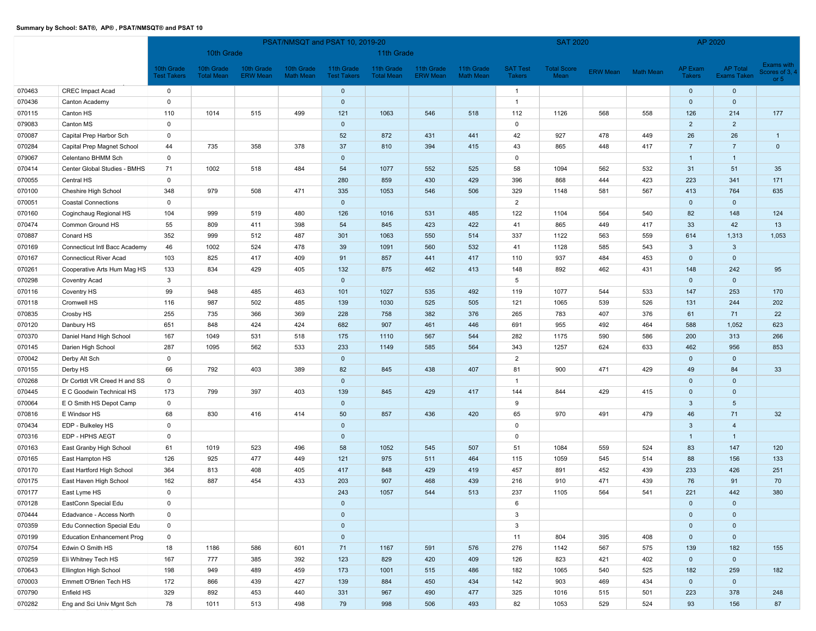|        |                                   |                                  | PSAT/NMSQT and PSAT 10, 2019-20 |                               |                         |                                  |                                 |                               |                                |                                  | <b>SAT 2020</b>            |     |                    |                          | AP 2020                        |                                       |
|--------|-----------------------------------|----------------------------------|---------------------------------|-------------------------------|-------------------------|----------------------------------|---------------------------------|-------------------------------|--------------------------------|----------------------------------|----------------------------|-----|--------------------|--------------------------|--------------------------------|---------------------------------------|
|        |                                   |                                  | 10th Grade                      |                               |                         |                                  | 11th Grade                      |                               |                                |                                  |                            |     |                    |                          |                                |                                       |
|        |                                   | 10th Grade<br><b>Test Takers</b> | 10th Grade<br><b>Total Mean</b> | 10th Grade<br><b>ERW Mean</b> | 10th Grade<br>Math Mean | 11th Grade<br><b>Test Takers</b> | 11th Grade<br><b>Total Mean</b> | 11th Grade<br><b>ERW Mean</b> | 11th Grade<br><b>Math Mean</b> | <b>SAT Test</b><br><b>Takers</b> | <b>Total Score</b><br>Mean |     | ERW Mean Math Mean | AP Exam<br><b>Takers</b> | AP Total<br><b>Exams Taken</b> | Exams with<br>cores of 3, 4<br>or $5$ |
| 070463 | <b>CREC Impact Acad</b>           | $\mathbf 0$                      |                                 |                               |                         | $\mathbf{0}$                     |                                 |                               |                                | $\mathbf{1}$                     |                            |     |                    | $\mathbf{0}$             | $\mathbf 0$                    |                                       |
| 070436 | Canton Academy                    | $\mathbf 0$                      |                                 |                               |                         | $\mathbf 0$                      |                                 |                               |                                | $\overline{1}$                   |                            |     |                    | $\mathbf 0$              | $\mathbf 0$                    |                                       |
| 070115 | Canton HS                         | 110                              | 1014                            | 515                           | 499                     | 121                              | 1063                            | 546                           | 518                            | 112                              | 1126                       | 568 | 558                | 126                      | 214                            | 177                                   |
| 079083 | Canton MS                         | $\mathbf 0$                      |                                 |                               |                         | $\mathbf 0$                      |                                 |                               |                                | $\mathbf 0$                      |                            |     |                    | $\overline{2}$           | $\overline{2}$                 |                                       |
| 070087 | Capital Prep Harbor Sch           | $\mathsf 0$                      |                                 |                               |                         | 52                               | 872                             | 431                           | 441                            | 42                               | 927                        | 478 | 449                | 26                       | 26                             | $\overline{1}$                        |
| 070284 | Capital Prep Magnet School        | 44                               | 735                             | 358                           | 378                     | 37                               | 810                             | 394                           | 415                            | 43                               | 865                        | 448 | 417                | $\overline{7}$           | $\overline{7}$                 | $\mathbf{0}$                          |
| 079067 | Celentano BHMM Sch                | $\mathbf 0$                      |                                 |                               |                         | $\mathbf 0$                      |                                 |                               |                                | $\mathbf 0$                      |                            |     |                    | $\overline{1}$           | $\mathbf{1}$                   |                                       |
| 070414 | Center Global Studies - BMHS      | 71                               | 1002                            | 518                           | 484                     | 54                               | 1077                            | 552                           | 525                            | 58                               | 1094                       | 562 | 532                | 31                       | 51                             | 35                                    |
| 070055 | Central HS                        | $\mathbf 0$                      |                                 |                               |                         | 280                              | 859                             | 430                           | 429                            | 396                              | 868                        | 444 | 423                | 223                      | 341                            | 171                                   |
| 070100 | Cheshire High School              | 348                              | 979                             | 508                           | 471                     | 335                              | 1053                            | 546                           | 506                            | 329                              | 1148                       | 581 | 567                | 413                      | 764                            | 635                                   |
| 070051 | <b>Coastal Connections</b>        | $\mathsf 0$                      |                                 |                               |                         | $\mathbf 0$                      |                                 |                               |                                | $\overline{2}$                   |                            |     |                    | $\mathbf{0}$             | $\mathbf 0$                    |                                       |
| 070160 | Coginchaug Regional HS            | 104                              | 999                             | 519                           | 480                     | 126                              | 1016                            | 531                           | 485                            | 122                              | 1104                       | 564 | 540                | 82                       | 148                            | 124                                   |
| 070474 | Common Ground HS                  | 55                               | 809                             | 411                           | 398                     | 54                               | 845                             | 423                           | 422                            | 41                               | 865                        | 449 | 417                | 33                       | 42                             | 13                                    |
| 070887 | Conard HS                         | 352                              | 999                             | 512                           | 487                     | 301                              | 1063                            | 550                           | 514                            | 337                              | 1122                       | 563 | 559                | 614                      | 1,313                          | 1,053                                 |
| 070169 | Connecticut Intl Bacc Academy     | 46                               | 1002                            | 524                           | 478                     | 39                               | 1091                            | 560                           | 532                            | 41                               | 1128                       | 585 | 543                | $\mathbf{3}$             | $\mathbf{3}$                   |                                       |
| 070167 | <b>Connecticut River Acad</b>     | 103                              | 825                             | 417                           | 409                     | 91                               | 857                             | 441                           | 417                            | 110                              | 937                        | 484 | 453                | $\mathbf 0$              | $\mathbf 0$                    |                                       |
| 070261 | Cooperative Arts Hum Mag HS       | 133                              | 834                             | 429                           | 405                     | 132                              | 875                             | 462                           | 413                            | 148                              | 892                        | 462 | 431                | 148                      | 242                            | 95                                    |
| 070298 | Coventry Acad                     | 3                                |                                 |                               |                         | $\mathbf{0}$                     |                                 |                               |                                | 5                                |                            |     |                    | $\mathbf 0$              | $\mathbf 0$                    |                                       |
| 070116 | Coventry HS                       | 99                               | 948                             | 485                           | 463                     | 101                              | 1027                            | 535                           | 492                            | 119                              | 1077                       | 544 | 533                | 147                      | 253                            | 170                                   |
| 070118 | Cromwell HS                       | 116                              | 987                             | 502                           | 485                     | 139                              | 1030                            | 525                           | 505                            | 121                              | 1065                       | 539 | 526                | 131                      | 244                            | 202                                   |
| 070835 | Crosby HS                         | 255                              | 735                             | 366                           | 369                     | 228                              | 758                             | 382                           | 376                            | 265                              | 783                        | 407 | 376                | 61                       | 71                             | 22                                    |
| 070120 | Danbury HS                        | 651                              | 848                             | 424                           | 424                     | 682                              | 907                             | 461                           | 446                            | 691                              | 955                        | 492 | 464                | 588                      | 1,052                          | 623                                   |
| 070370 | Daniel Hand High School           | 167                              | 1049                            | 531                           | 518                     | 175                              | 1110                            | 567                           | 544                            | 282                              | 1175                       | 590 | 586                | 200                      | 313                            | 266                                   |
| 070145 | Darien High School                | 287                              | 1095                            | 562                           | 533                     | 233                              | 1149                            | 585                           | 564                            | 343                              | 1257                       | 624 | 633                | 462                      | 956                            | 853                                   |
| 070042 | Derby Alt Sch                     | $\mathbf 0$                      |                                 |                               |                         | $\mathbf 0$                      |                                 |                               |                                | $\overline{2}$                   |                            |     |                    | $\mathbf 0$              | $\mathbf 0$                    |                                       |
| 070155 | Derby HS                          | 66                               | 792                             | 403                           | 389                     | 82                               | 845                             | 438                           | 407                            | 81                               | 900                        | 471 | 429                | 49                       | 84                             | 33                                    |
| 070268 | Dr Cortldt VR Creed H and SS      | $\mathbf 0$                      |                                 |                               |                         | $\mathbf 0$                      |                                 |                               |                                | $\overline{1}$                   |                            |     |                    | $\mathbf 0$              | $\mathbf 0$                    |                                       |
| 070445 | E C Goodwin Technical HS          | 173                              | 799                             | 397                           | 403                     | 139                              | 845                             | 429                           | 417                            | 144                              | 844                        | 429 | 415                | $\mathbf 0$              | $\mathbf 0$                    |                                       |
| 070064 | E O Smith HS Depot Camp           | $\mathbf 0$                      |                                 |                               |                         | $\mathbf 0$                      |                                 |                               |                                | 9                                |                            |     |                    | 3                        | $5\phantom{.0}$                |                                       |
| 070816 | E Windsor HS                      | 68                               | 830                             | 416                           | 414                     | 50                               | 857                             | 436                           | 420                            | 65                               | 970                        | 491 | 479                | 46                       | 71                             | 32                                    |
| 070434 | EDP - Bulkeley HS                 | $\mathsf 0$                      |                                 |                               |                         | $\mathbf 0$                      |                                 |                               |                                | $\Omega$                         |                            |     |                    | 3                        | $\overline{4}$                 |                                       |
| 070316 | EDP - HPHS AEGT                   | $\mathbf 0$                      |                                 |                               |                         | $\mathbf 0$                      |                                 |                               |                                | $\mathbf 0$                      |                            |     |                    | $\overline{1}$           | $\overline{1}$                 |                                       |
| 070163 | East Granby High School           | 61                               | 1019                            | 523                           | 496                     | 58                               | 1052                            | 545                           | 507                            | 51                               | 1084                       | 559 | 524                | 83                       | 147                            | 120                                   |
| 070165 | East Hampton HS                   | 126                              | 925                             | 477                           | 449                     | 121                              | 975                             | 511                           | 464                            | 115                              | 1059                       | 545 | 514                | 88                       | 156                            | 133                                   |
| 070170 | East Hartford High School         | 364                              | 813                             | 408                           | 405                     | 417                              | 848                             | 429                           | 419                            | 457                              | 891                        | 452 | 439                | 233                      | 426                            | 251                                   |
| 070175 | East Haven High School            | 162                              | 887                             | 454                           | 433                     | 203                              | 907                             | 468                           | 439                            | 216                              | 910                        | 471 | 439                | 76                       | 91                             | 70                                    |
| 070177 | East Lyme HS                      | $\mathbf{0}$                     |                                 |                               |                         | 243                              | 1057                            | 544                           | 513                            | 237                              | 1105                       | 564 | 541                | 221                      | 442                            | 380                                   |
| 070128 | EastConn Special Edu              | $\mathsf 0$                      |                                 |                               |                         | $\mathbf{0}$                     |                                 |                               |                                | 6                                |                            |     |                    | $\mathbf{0}$             | $\mathbf 0$                    |                                       |
| 070444 | Edadvance - Access North          | $\mathbf 0$                      |                                 |                               |                         | $\mathbf{0}$                     |                                 |                               |                                | $\mathbf{3}$                     |                            |     |                    | $\mathbf{0}$             | $\mathbf 0$                    |                                       |
| 070359 | Edu Connection Special Edu        | $\mathsf 0$                      |                                 |                               |                         | $\mathbf{0}$                     |                                 |                               |                                | $\mathbf{3}$                     |                            |     |                    | $\mathbf 0$              | $\mathbf 0$                    |                                       |
| 070199 | <b>Education Enhancement Prog</b> | $\mathbf 0$                      |                                 |                               |                         | $\mathbf{0}$                     |                                 |                               |                                | 11                               | 804                        | 395 | 408                | $\mathbf{0}$             | $\mathbf{0}$                   |                                       |
| 070754 | Edwin O Smith HS                  | 18                               | 1186                            | 586                           | 601                     | 71                               | 1167                            | 591                           | 576                            | 276                              | 1142                       | 567 | 575                | 139                      | 182                            | 155                                   |
| 070259 | Eli Whitney Tech HS               | 167                              | 777                             | 385                           | 392                     | 123                              | 829                             | 420                           | 409                            | 126                              | 823                        | 421 | 402                | $\overline{0}$           | $\mathbf 0$                    |                                       |
| 070643 | Ellington High School             | 198                              | 949                             | 489                           | 459                     | 173                              | 1001                            | 515                           | 486                            | 182                              | 1065                       | 540 | 525                | 182                      | 259                            | 182                                   |
| 070003 | Emmett O'Brien Tech HS            | 172                              | 866                             | 439                           | 427                     | 139                              | 884                             | 450                           | 434                            | 142                              | 903                        | 469 | 434                | $\mathbf{0}$             | $\mathbf 0$                    |                                       |
| 070790 | Enfield HS                        | 329                              | 892                             | 453                           | 440                     | 331                              | 967                             | 490                           | 477                            | 325                              | 1016                       | 515 | 501                | 223                      | 378                            | 248                                   |
| 070282 | Eng and Sci Univ Mgnt Sch         | 78                               | 1011                            | 513                           | 498                     | 79                               | 998                             | 506                           | 493                            | 82                               | 1053                       | 529 | 524                | 93                       | 156                            | 87                                    |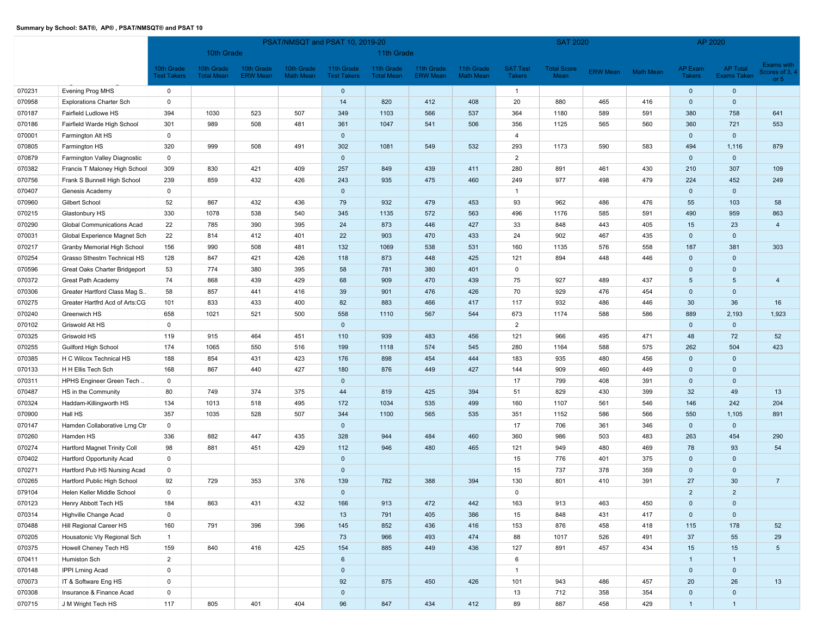|        |                                 |                                  | PSAT/NMSQT and PSAT 10, 2019-20 |                               |                                |                                  |                                 |                               |                                |                                  | <b>SAT 2020</b>            |          |           |                          | AP 2020                        |                                       |
|--------|---------------------------------|----------------------------------|---------------------------------|-------------------------------|--------------------------------|----------------------------------|---------------------------------|-------------------------------|--------------------------------|----------------------------------|----------------------------|----------|-----------|--------------------------|--------------------------------|---------------------------------------|
|        |                                 |                                  | 10th Grade                      |                               |                                |                                  | 11th Grade                      |                               |                                |                                  |                            |          |           |                          |                                |                                       |
|        |                                 | 10th Grade<br><b>Test Takers</b> | 10th Grade<br><b>Total Mean</b> | 10th Grade<br><b>ERW</b> Mean | 10th Grade<br><b>Math Mean</b> | 11th Grade<br><b>Test Takers</b> | 11th Grade<br><b>Total Mean</b> | 11th Grade<br><b>ERW Mean</b> | 11th Grade<br><b>Math Mean</b> | <b>SAT Test</b><br><b>Takers</b> | <b>Total Score</b><br>Mean | ERW Mean | Math Mean | AP Exam<br><b>Takers</b> | AP Total<br><b>Exams Taken</b> | Exams with<br>cores of 3, 4<br>or $5$ |
| 070231 | Evening Prog MHS                | $\mathbf 0$                      |                                 |                               |                                | $\mathbf 0$                      |                                 |                               |                                | $\overline{1}$                   |                            |          |           | $\mathbf{0}$             | $\mathbf 0$                    |                                       |
| 070958 | <b>Explorations Charter Sch</b> | $\mathbf 0$                      |                                 |                               |                                | 14                               | 820                             | 412                           | 408                            | 20                               | 880                        | 465      | 416       | $\mathbf 0$              | $\mathbf 0$                    |                                       |
| 070187 | Fairfield Ludlowe HS            | 394                              | 1030                            | 523                           | 507                            | 349                              | 1103                            | 566                           | 537                            | 364                              | 1180                       | 589      | 591       | 380                      | 758                            | 641                                   |
| 070186 | Fairfield Warde High School     | 301                              | 989                             | 508                           | 481                            | 361                              | 1047                            | 541                           | 506                            | 356                              | 1125                       | 565      | 560       | 360                      | 721                            | 553                                   |
| 070001 | Farmington Alt HS               | $\mathbf 0$                      |                                 |                               |                                | $\mathbf 0$                      |                                 |                               |                                | $\overline{4}$                   |                            |          |           | $\mathbf 0$              | $\mathbf 0$                    |                                       |
| 070805 | Farmington HS                   | 320                              | 999                             | 508                           | 491                            | 302                              | 1081                            | 549                           | 532                            | 293                              | 1173                       | 590      | 583       | 494                      | 1,116                          | 879                                   |
| 070879 | Farmington Valley Diagnostic    | $\mathbf 0$                      |                                 |                               |                                | $\mathbf 0$                      |                                 |                               |                                | $\overline{2}$                   |                            |          |           | $\mathbf 0$              | $\mathbf 0$                    |                                       |
| 070382 | Francis T Maloney High School   | 309                              | 830                             | 421                           | 409                            | 257                              | 849                             | 439                           | 411                            | 280                              | 891                        | 461      | 430       | 210                      | 307                            | 109                                   |
| 070756 | Frank S Bunnell High School     | 239                              | 859                             | 432                           | 426                            | 243                              | 935                             | 475                           | 460                            | 249                              | 977                        | 498      | 479       | 224                      | 452                            | 249                                   |
| 070407 | Genesis Academy                 | $\mathbf 0$                      |                                 |                               |                                | $\mathbf 0$                      |                                 |                               |                                | $\overline{1}$                   |                            |          |           | $\mathbf{0}$             | $\mathbf 0$                    |                                       |
| 070960 | Gilbert School                  | 52                               | 867                             | 432                           | 436                            | 79                               | 932                             | 479                           | 453                            | 93                               | 962                        | 486      | 476       | 55                       | 103                            | 58                                    |
| 070215 | Glastonbury HS                  | 330                              | 1078                            | 538                           | 540                            | 345                              | 1135                            | 572                           | 563                            | 496                              | 1176                       | 585      | 591       | 490                      | 959                            | 863                                   |
| 070290 | Global Communications Acad      | 22                               | 785                             | 390                           | 395                            | 24                               | 873                             | 446                           | 427                            | 33                               | 848                        | 443      | 405       | 15                       | 23                             | $\overline{4}$                        |
| 070031 | Global Experience Magnet Sch    | 22                               | 814                             | 412                           | 401                            | 22                               | 903                             | 470                           | 433                            | 24                               | 902                        | 467      | 435       | $\mathbf 0$              | $\mathbf 0$                    |                                       |
| 070217 | Granby Memorial High School     | 156                              | 990                             | 508                           | 481                            | 132                              | 1069                            | 538                           | 531                            | 160                              | 1135                       | 576      | 558       | 187                      | 381                            | 303                                   |
| 070254 | Grasso Sthestrn Technical HS    | 128                              | 847                             | 421                           | 426                            | 118                              | 873                             | 448                           | 425                            | 121                              | 894                        | 448      | 446       | $\mathbf 0$              | $\mathbf{0}$                   |                                       |
| 070596 | Great Oaks Charter Bridgeport   | 53                               | 774                             | 380                           | 395                            | 58                               | 781                             | 380                           | 401                            | $\mathbf 0$                      |                            |          |           | $\mathbf 0$              | $\mathbf 0$                    |                                       |
| 070372 | Great Path Academy              | 74                               | 868                             | 439                           | 429                            | 68                               | 909                             | 470                           | 439                            | 75                               | 927                        | 489      | 437       | $5\phantom{.0}$          | $5\phantom{.0}$                | $\overline{4}$                        |
| 070306 | Greater Hartford Class Mag S    | 58                               | 857                             | 441                           | 416                            | 39                               | 901                             | 476                           | 426                            | 70                               | 929                        | 476      | 454       | $\mathbf 0$              | $\mathbf 0$                    |                                       |
| 070275 | Greater Hartfrd Acd of Arts:CG  | 101                              | 833                             | 433                           | 400                            | 82                               | 883                             | 466                           | 417                            | 117                              | 932                        | 486      | 446       | 30                       | 36                             | 16                                    |
| 070240 | Greenwich HS                    | 658                              | 1021                            | 521                           | 500                            | 558                              | 1110                            | 567                           | 544                            | 673                              | 1174                       | 588      | 586       | 889                      | 2,193                          | 1,923                                 |
| 070102 | Griswold Alt HS                 | $\mathbf 0$                      |                                 |                               |                                | $\mathbf 0$                      |                                 |                               |                                | $\overline{2}$                   |                            |          |           | $\mathbf 0$              | $\mathbf 0$                    |                                       |
| 070325 | Griswold HS                     | 119                              | 915                             | 464                           | 451                            | 110                              | 939                             | 483                           | 456                            | 121                              | 966                        | 495      | 471       | 48                       | 72                             | 52                                    |
| 070255 | Guilford High School            | 174                              | 1065                            | 550                           | 516                            | 199                              | 1118                            | 574                           | 545                            | 280                              | 1164                       | 588      | 575       | 262                      | 504                            | 423                                   |
| 070385 | H C Wilcox Technical HS         | 188                              | 854                             | 431                           | 423                            | 176                              | 898                             | 454                           | 444                            | 183                              | 935                        | 480      | 456       | $\mathbf 0$              | $\mathbf 0$                    |                                       |
| 070133 | H H Ellis Tech Sch              | 168                              | 867                             | 440                           | 427                            | 180                              | 876                             | 449                           | 427                            | 144                              | 909                        | 460      | 449       | $\mathbf 0$              | $\mathbf 0$                    |                                       |
| 070311 | HPHS Engineer Green Tech        | $\mathbf 0$                      |                                 |                               |                                | $\mathbf 0$                      |                                 |                               |                                | 17                               | 799                        | 408      | 391       | $\mathbf 0$              | $\mathbf 0$                    |                                       |
| 070487 | HS in the Community             | 80                               | 749                             | 374                           | 375                            | 44                               | 819                             | 425                           | 394                            | 51                               | 829                        | 430      | 399       | 32                       | 49                             | 13                                    |
| 070324 | Haddam-Killingworth HS          | 134                              | 1013                            | 518                           | 495                            | 172                              | 1034                            | 535                           | 499                            | 160                              | 1107                       | 561      | 546       | 146                      | 242                            | 204                                   |
| 070900 | Hall HS                         | 357                              | 1035                            | 528                           | 507                            | 344                              | 1100                            | 565                           | 535                            | 351                              | 1152                       | 586      | 566       | 550                      | 1,105                          | 891                                   |
| 070147 | Hamden Collaborative Lrng Ctr   | $\mathbf 0$                      |                                 |                               |                                | $\mathbf 0$                      |                                 |                               |                                | 17                               | 706                        | 361      | 346       | $\mathbf 0$              | $\mathbf 0$                    |                                       |
| 070260 | Hamden HS                       | 336                              | 882                             | 447                           | 435                            | 328                              | 944                             | 484                           | 460                            | 360                              | 986                        | 503      | 483       | 263                      | 454                            | 290                                   |
| 070274 | Hartford Magnet Trinity Coll    | 98                               | 881                             | 451                           | 429                            | 112                              | 946                             | 480                           | 465                            | 121                              | 949                        | 480      | 469       | 78                       | 93                             | 54                                    |
| 070402 | Hartford Opportunity Acad       | $\mathbf 0$                      |                                 |                               |                                | $\mathbf{0}$                     |                                 |                               |                                | 15                               | 776                        | 401      | 375       | $\mathbf 0$              | $\mathbf 0$                    |                                       |
| 070271 | Hartford Pub HS Nursing Acad    | $\mathbf 0$                      |                                 |                               |                                | $\mathbf 0$                      |                                 |                               |                                | 15                               | 737                        | 378      | 359       | $\mathbf 0$              | $\mathbf 0$                    |                                       |
| 070265 | Hartford Public High School     | 92                               | 729                             | 353                           | 376                            | 139                              | 782                             | 388                           | 394                            | 130                              | 801                        | 410      | 391       | 27                       | 30                             | $\overline{7}$                        |
| 079104 | Helen Keller Middle School      | $\mathbf{0}$                     |                                 |                               |                                | $\mathbf 0$                      |                                 |                               |                                | $\Omega$                         |                            |          |           | $\overline{2}$           | $\overline{2}$                 |                                       |
| 070123 | Henry Abbott Tech HS            | 184                              | 863                             | 431                           | 432                            | 166                              | 913                             | 472                           | 442                            | 163                              | 913                        | 463      | 450       | $\overline{0}$           | $\mathbf 0$                    |                                       |
| 070314 | Highville Change Acad           | $\mathbf 0$                      |                                 |                               |                                | 13                               | 791                             | 405                           | 386                            | 15                               | 848                        | 431      | 417       | $\mathbf{0}$             | $\mathbf{0}$                   |                                       |
| 070488 | Hill Regional Career HS         | 160                              | 791                             | 396                           | 396                            | 145                              | 852                             | 436                           | 416                            | 153                              | 876                        | 458      | 418       | 115                      | 178                            | 52                                    |
| 070205 | Housatonic Vly Regional Sch     | $\overline{1}$                   |                                 |                               |                                | 73                               | 966                             | 493                           | 474                            | 88                               | 1017                       | 526      | 491       | 37                       | 55                             | 29                                    |
| 070375 | Howell Cheney Tech HS           | 159                              | 840                             | 416                           | 425                            | 154                              | 885                             | 449                           | 436                            | 127                              | 891                        | 457      | 434       | 15                       | 15                             | $5\phantom{.0}$                       |
| 070411 | Humiston Sch                    | $\overline{2}$                   |                                 |                               |                                | $6\overline{6}$                  |                                 |                               |                                | 6                                |                            |          |           | $\overline{1}$           | $\overline{1}$                 |                                       |
| 070148 | IPPI Lrning Acad                | $\mathbf 0$                      |                                 |                               |                                | $\mathbf 0$                      |                                 |                               |                                | $\overline{1}$                   |                            |          |           | $\mathbf{0}$             | $\mathbf{0}$                   |                                       |
| 070073 | IT & Software Eng HS            | $\mathsf 0$                      |                                 |                               |                                | 92                               | 875                             | 450                           | 426                            | 101                              | 943                        | 486      | 457       | 20                       | 26                             | 13                                    |
| 070308 | Insurance & Finance Acad        | $\mathbf 0$                      |                                 |                               |                                | $\mathbf 0$                      |                                 |                               |                                | 13                               | 712                        | 358      | 354       | $\overline{0}$           | $\mathbf{0}$                   |                                       |
| 070715 | J M Wright Tech HS              | 117                              | 805                             | 401                           | 404                            | 96                               | 847                             | 434                           | 412                            | 89                               | 887                        | 458      | 429       | $\mathbf{1}$             | $\overline{1}$                 |                                       |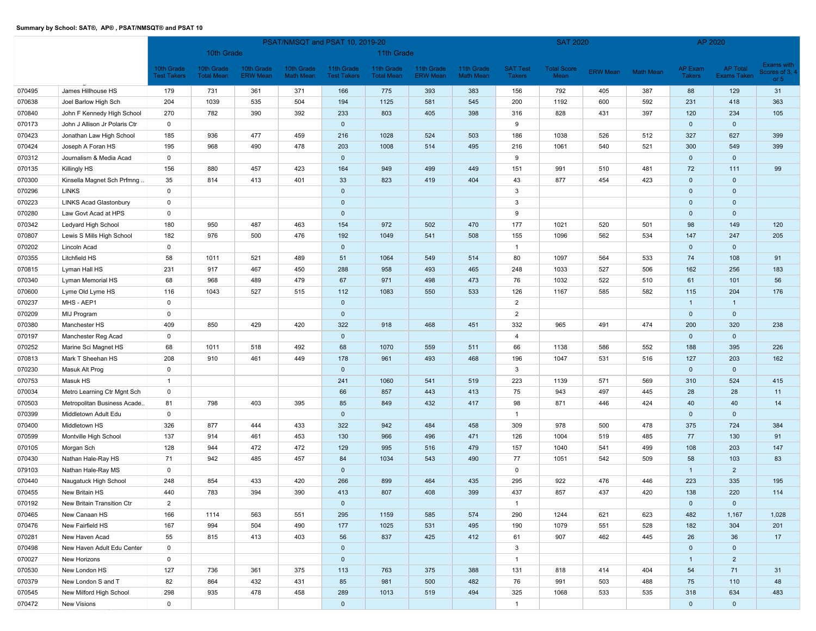|        |                               |                                  | PSAT/NMSQT and PSAT 10, 2019-20 |                               |                                |                                  |                                 |                               |                                |                                  | <b>SAT 2020</b>            |          |                  | AP 2020                         |                                |                                             |
|--------|-------------------------------|----------------------------------|---------------------------------|-------------------------------|--------------------------------|----------------------------------|---------------------------------|-------------------------------|--------------------------------|----------------------------------|----------------------------|----------|------------------|---------------------------------|--------------------------------|---------------------------------------------|
|        |                               |                                  | 10th Grade                      |                               |                                |                                  | 11th Grade                      |                               |                                |                                  |                            |          |                  |                                 |                                |                                             |
|        |                               | 10th Grade<br><b>Fest Takers</b> | 10th Grade<br><b>Total Mean</b> | 10th Grade<br><b>ERW</b> Mean | 10th Grade<br><b>Math Mean</b> | 11th Grade<br><b>Test Takers</b> | 11th Grade<br><b>Total Mean</b> | 11th Grade<br><b>ERW Mean</b> | 11th Grade<br><b>Math Mean</b> | <b>SAT Test</b><br><b>Takers</b> | <b>Total Score</b><br>Mean | ERW Mean | <b>Math Mean</b> | <b>AP Exam</b><br><b>Takers</b> | <b>AP Total</b><br>Exams Taken | <b>Exams with</b><br>Scores of 3,<br>or $5$ |
| 070495 | James Hillhouse HS            | 179                              | 731                             | 361                           | 371                            | 166                              | 775                             | 393                           | 383                            | 156                              | 792                        | 405      | 387              | 88                              | 129                            | 31                                          |
| 070638 | Joel Barlow High Sch          | 204                              | 1039                            | 535                           | 504                            | 194                              | 1125                            | 581                           | 545                            | 200                              | 1192                       | 600      | 592              | 231                             | 418                            | 363                                         |
| 070840 | John F Kennedy High School    | 270                              | 782                             | 390                           | 392                            | 233                              | 803                             | 405                           | 398                            | 316                              | 828                        | 431      | 397              | 120                             | 234                            | 105                                         |
| 070173 | John J Allison Jr Polaris Ctr | $\mathbf 0$                      |                                 |                               |                                | $\mathbf 0$                      |                                 |                               |                                | 9                                |                            |          |                  | $\mathbf 0$                     | $\mathbf 0$                    |                                             |
| 070423 | Jonathan Law High School      | 185                              | 936                             | 477                           | 459                            | 216                              | 1028                            | 524                           | 503                            | 186                              | 1038                       | 526      | 512              | 327                             | 627                            | 399                                         |
| 070424 | Joseph A Foran HS             | 195                              | 968                             | 490                           | 478                            | 203                              | 1008                            | 514                           | 495                            | 216                              | 1061                       | 540      | 521              | 300                             | 549                            | 399                                         |
| 070312 | Journalism & Media Acad       | $\mathbf 0$                      |                                 |                               |                                | $\mathbf 0$                      |                                 |                               |                                | 9                                |                            |          |                  | $\mathbf 0$                     | $\mathbf 0$                    |                                             |
| 070135 | Killingly HS                  | 156                              | 880                             | 457                           | 423                            | 164                              | 949                             | 499                           | 449                            | 151                              | 991                        | 510      | 481              | 72                              | 111                            | 99                                          |
| 070300 | Kinsella Magnet Sch Prfmng.   | 35                               | 814                             | 413                           | 401                            | 33                               | 823                             | 419                           | 404                            | 43                               | 877                        | 454      | 423              | $\mathbf 0$                     | $\mathbf 0$                    |                                             |
| 070296 | <b>LINKS</b>                  | $\mathsf 0$                      |                                 |                               |                                | $\mathbf 0$                      |                                 |                               |                                | 3                                |                            |          |                  | $\mathbf{0}$                    | $\mathbf 0$                    |                                             |
| 070223 | <b>LINKS Acad Glastonbury</b> | $\mathsf 0$                      |                                 |                               |                                | $\mathbf 0$                      |                                 |                               |                                | 3                                |                            |          |                  | $\mathbf 0$                     | $\mathbf 0$                    |                                             |
| 070280 | Law Govt Acad at HPS          | $\mathbf 0$                      |                                 |                               |                                | $\mathbf 0$                      |                                 |                               |                                | 9                                |                            |          |                  | $\mathbf 0$                     | $\mathbf 0$                    |                                             |
| 070342 | Ledyard High School           | 180                              | 950                             | 487                           | 463                            | 154                              | 972                             | 502                           | 470                            | 177                              | 1021                       | 520      | 501              | 98                              | 149                            | 120                                         |
| 070807 | Lewis S Mills High School     | 182                              | 976                             | 500                           | 476                            | 192                              | 1049                            | 541                           | 508                            | 155                              | 1096                       | 562      | 534              | 147                             | 247                            | 205                                         |
| 070202 | Lincoln Acad                  | $\mathbf 0$                      |                                 |                               |                                | $\mathbf{0}$                     |                                 |                               |                                | $\overline{1}$                   |                            |          |                  | $\mathbf{0}$                    | $\mathbf{0}$                   |                                             |
| 070355 | Litchfield HS                 | 58                               | 1011                            | 521                           | 489                            | 51                               | 1064                            | 549                           | 514                            | 80                               | 1097                       | 564      | 533              | 74                              | 108                            | 91                                          |
| 070815 | Lyman Hall HS                 | 231                              | 917                             | 467                           | 450                            | 288                              | 958                             | 493                           | 465                            | 248                              | 1033                       | 527      | 506              | 162                             | 256                            | 183                                         |
| 070340 | Lyman Memorial HS             | 68                               | 968                             | 489                           | 479                            | 67                               | 971                             | 498                           | 473                            | 76                               | 1032                       | 522      | 510              | 61                              | 101                            | 56                                          |
| 070600 | Lyme Old Lyme HS              | 116                              | 1043                            | 527                           | 515                            | 112                              | 1083                            | 550                           | 533                            | 126                              | 1167                       | 585      | 582              | 115                             | 204                            | 176                                         |
| 070237 | MHS - AEP1                    | $\mathbf 0$                      |                                 |                               |                                | $\mathbf 0$                      |                                 |                               |                                | $\overline{2}$                   |                            |          |                  | $\mathbf{1}$                    | $\overline{1}$                 |                                             |
| 070209 | MIJ Program                   | $\mathsf 0$                      |                                 |                               |                                | $\mathbf{0}$                     |                                 |                               |                                | $\overline{2}$                   |                            |          |                  | $\mathbf 0$                     | $\mathbf 0$                    |                                             |
| 070380 | Manchester HS                 | 409                              | 850                             | 429                           | 420                            | 322                              | 918                             | 468                           | 451                            | 332                              | 965                        | 491      | 474              | 200                             | 320                            | 238                                         |
| 070197 | Manchester Reg Acad           | $\mathsf 0$                      |                                 |                               |                                | $\mathbf 0$                      |                                 |                               |                                | $\overline{4}$                   |                            |          |                  | $\mathbf 0$                     | $\mathbf 0$                    |                                             |
| 070252 | Marine Sci Magnet HS          | 68                               | 1011                            | 518                           | 492                            | 68                               | 1070                            | 559                           | 511                            | 66                               | 1138                       | 586      | 552              | 188                             | 395                            | 226                                         |
| 070813 | Mark T Sheehan HS             | 208                              | 910                             | 461                           | 449                            | 178                              | 961                             | 493                           | 468                            | 196                              | 1047                       | 531      | 516              | 127                             | 203                            | 162                                         |
| 070230 | Masuk Alt Prog                | $\mathsf 0$                      |                                 |                               |                                | $\mathbf 0$                      |                                 |                               |                                | 3                                |                            |          |                  | $\mathbf 0$                     | $\mathbf 0$                    |                                             |
| 070753 | Masuk HS                      | $\overline{1}$                   |                                 |                               |                                | 241                              | 1060                            | 541                           | 519                            | 223                              | 1139                       | 571      | 569              | 310                             | 524                            | 415                                         |
| 070034 | Metro Learning Ctr Mgnt Sch   | $\mathsf 0$                      |                                 |                               |                                | 66                               | 857                             | 443                           | 413                            | 75                               | 943                        | 497      | 445              | 28                              | 28                             | 11                                          |
| 070503 | Metropolitan Business Acade   | 81                               | 798                             | 403                           | 395                            | 85                               | 849                             | 432                           | 417                            | 98                               | 871                        | 446      | 424              | 40                              | 40                             | 14                                          |
| 070399 | Middletown Adult Edu          | $\mathbf 0$                      |                                 |                               |                                | $\mathbf 0$                      |                                 |                               |                                | $\mathbf{1}$                     |                            |          |                  | $\mathbf 0$                     | $\mathbf{0}$                   |                                             |
| 070400 | Middletown HS                 | 326                              | 877                             | 444                           | 433                            | 322                              | 942                             | 484                           | 458                            | 309                              | 978                        | 500      | 478              | 375                             | 724                            | 384                                         |
| 070599 | Montville High School         | 137                              | 914                             | 461                           | 453                            | 130                              | 966                             | 496                           | 471                            | 126                              | 1004                       | 519      | 485              | 77                              | 130                            | 91                                          |
| 070105 | Morgan Sch                    | 128                              | 944                             | 472                           | 472                            | 129                              | 995                             | 516                           | 479                            | 157                              | 1040                       | 541      | 499              | 108                             | 203                            | 147                                         |
| 070430 | Nathan Hale-Ray HS            | 71                               | 942                             | 485                           | 457                            | 84                               | 1034                            | 543                           | 490                            | 77                               | 1051                       | 542      | 509              | 58                              | 103                            | 83                                          |
| 079103 | Nathan Hale-Ray MS            | $\mathbf 0$                      |                                 |                               |                                | $\mathbf 0$                      |                                 |                               |                                | $\mathbf 0$                      |                            |          |                  | $\mathbf{1}$                    | $\overline{2}$                 |                                             |
| 070440 | Naugatuck High School         | 248                              | 854                             | 433                           | 420                            | 266                              | 899                             | 464                           | 435                            | 295                              | 922                        | 476      | 446              | 223                             | 335                            | 195                                         |
| 070455 | New Britain HS                | 440                              | 783                             | 394                           | 390                            | 413                              | 807                             | 408                           | 399                            | 437                              | 857                        | 437      | 420              | 138                             | 220                            | 114                                         |
| 070192 | New Britain Transition Ctr    | $\overline{2}$                   |                                 |                               |                                | $\mathbf{0}$                     |                                 |                               |                                | $\overline{1}$                   |                            |          |                  | $\mathbf 0$                     | $\mathbf 0$                    |                                             |
| 070465 | New Canaan HS                 | 166                              | 1114                            | 563                           | 551                            | 295                              | 1159                            | 585                           | 574                            | 290                              | 1244                       | 621      | 623              | 482                             | 1,167                          | 1,028                                       |
| 070476 | New Fairfield HS              | 167                              | 994                             | 504                           | 490                            | 177                              | 1025                            | 531                           | 495                            | 190                              | 1079                       | 551      | 528              | 182                             | 304                            | 201                                         |
| 070281 | New Haven Acad                | 55                               | 815                             | 413                           | 403                            | 56                               | 837                             | 425                           | 412                            | 61                               | 907                        | 462      | 445              | 26                              | 36                             | 17                                          |
| 070498 | New Haven Adult Edu Center    | $\mathsf 0$                      |                                 |                               |                                | $\mathbf{0}$                     |                                 |                               |                                | 3                                |                            |          |                  | $\mathbf 0$                     | $\mathbf 0$                    |                                             |
| 070027 | New Horizons                  | $\mathsf 0$                      |                                 |                               |                                | $\mathbf 0$                      |                                 |                               |                                | $\mathbf{1}$                     |                            |          |                  | $\overline{1}$                  | $\overline{2}$                 |                                             |
| 070530 | New London HS                 | 127                              | 736                             | 361                           | 375                            | 113                              | 763                             | 375                           | 388                            | 131                              | 818                        | 414      | 404              | 54                              | 71                             | 31                                          |
| 070379 | New London S and T            | 82                               | 864                             | 432                           | 431                            | 85                               | 981                             | 500                           | 482                            | 76                               | 991                        | 503      | 488              | 75                              | 110                            | 48                                          |
| 070545 | New Milford High School       | 298                              | 935                             | 478                           | 458                            | 289                              | 1013                            | 519                           | 494                            | 325                              | 1068                       | 533      | 535              | 318                             | 634                            | 483                                         |
| 070472 | New Visions                   | $\mathsf 0$                      |                                 |                               |                                | $\mathbf{0}$                     |                                 |                               |                                | $\mathbf{1}$                     |                            |          |                  | $\mathbf{0}$                    | $\mathbf 0$                    |                                             |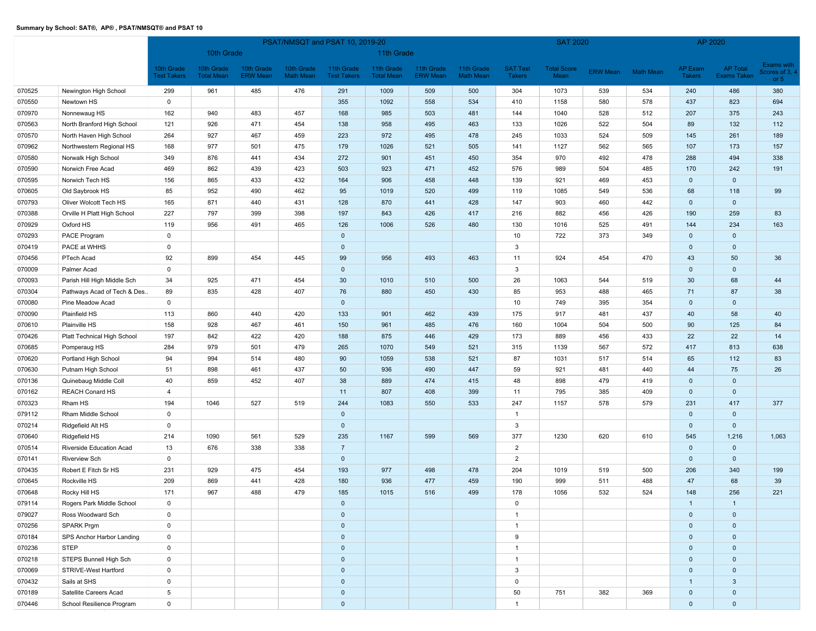|        |                             |                                  | PSAT/NMSQT and PSAT 10, 2019-20 |                               |                                |                                  |                                 |                               |                                |                                  | <b>SAT 2020</b>            |                 |                  | AP 2020                         |                         |                                                    |
|--------|-----------------------------|----------------------------------|---------------------------------|-------------------------------|--------------------------------|----------------------------------|---------------------------------|-------------------------------|--------------------------------|----------------------------------|----------------------------|-----------------|------------------|---------------------------------|-------------------------|----------------------------------------------------|
|        |                             |                                  | 10th Grade                      |                               |                                |                                  | 11th Grade                      |                               |                                |                                  |                            |                 |                  |                                 |                         |                                                    |
|        |                             | 10th Grade<br><b>Fest Takers</b> | 10th Grade<br><b>Total Mean</b> | 10th Grade<br><b>ERW</b> Mean | 10th Grade<br><b>Math Mean</b> | 11th Grade<br><b>Test Takers</b> | 11th Grade<br><b>Total Mean</b> | 11th Grade<br><b>ERW Mean</b> | 11th Grade<br><b>Math Mean</b> | <b>SAT Test</b><br><b>Takers</b> | <b>Total Score</b><br>Mean | <b>ERW Mean</b> | <b>Math Mean</b> | <b>AP Exam</b><br><b>Takers</b> | AP Total<br>Exams Taken | <b>Exams with</b><br>cores of 3, $\cdot$<br>or $5$ |
| 070525 | Newington High School       | 299                              | 961                             | 485                           | 476                            | 291                              | 1009                            | 509                           | 500                            | 304                              | 1073                       | 539             | 534              | 240                             | 486                     | 380                                                |
| 070550 | Newtown HS                  | $\mathsf 0$                      |                                 |                               |                                | 355                              | 1092                            | 558                           | 534                            | 410                              | 1158                       | 580             | 578              | 437                             | 823                     | 694                                                |
| 070970 | Nonnewaug HS                | 162                              | 940                             | 483                           | 457                            | 168                              | 985                             | 503                           | 481                            | 144                              | 1040                       | 528             | 512              | 207                             | 375                     | 243                                                |
| 070563 | North Branford High School  | 121                              | 926                             | 471                           | 454                            | 138                              | 958                             | 495                           | 463                            | 133                              | 1026                       | 522             | 504              | 89                              | 132                     | 112                                                |
| 070570 | North Haven High School     | 264                              | 927                             | 467                           | 459                            | 223                              | 972                             | 495                           | 478                            | 245                              | 1033                       | 524             | 509              | 145                             | 261                     | 189                                                |
| 070962 | Northwestern Regional HS    | 168                              | 977                             | 501                           | 475                            | 179                              | 1026                            | 521                           | 505                            | 141                              | 1127                       | 562             | 565              | 107                             | 173                     | 157                                                |
| 070580 | Norwalk High School         | 349                              | 876                             | 441                           | 434                            | 272                              | 901                             | 451                           | 450                            | 354                              | 970                        | 492             | 478              | 288                             | 494                     | 338                                                |
| 070590 | Norwich Free Acad           | 469                              | 862                             | 439                           | 423                            | 503                              | 923                             | 471                           | 452                            | 576                              | 989                        | 504             | 485              | 170                             | 242                     | 191                                                |
| 070595 | Norwich Tech HS             | 156                              | 865                             | 433                           | 432                            | 164                              | 906                             | 458                           | 448                            | 139                              | 921                        | 469             | 453              | $\mathbf 0$                     | $\mathbf 0$             |                                                    |
| 070605 | Old Saybrook HS             | 85                               | 952                             | 490                           | 462                            | 95                               | 1019                            | 520                           | 499                            | 119                              | 1085                       | 549             | 536              | 68                              | 118                     | 99                                                 |
| 070793 | Oliver Wolcott Tech HS      | 165                              | 871                             | 440                           | 431                            | 128                              | 870                             | 441                           | 428                            | 147                              | 903                        | 460             | 442              | $\mathbf 0$                     | $\mathbf 0$             |                                                    |
| 070388 | Orville H Platt High School | 227                              | 797                             | 399                           | 398                            | 197                              | 843                             | 426                           | 417                            | 216                              | 882                        | 456             | 426              | 190                             | 259                     | 83                                                 |
| 070929 | Oxford HS                   | 119                              | 956                             | 491                           | 465                            | 126                              | 1006                            | 526                           | 480                            | 130                              | 1016                       | 525             | 491              | 144                             | 234                     | 163                                                |
| 070293 | PACE Program                | $\mathsf 0$                      |                                 |                               |                                | $\mathbf 0$                      |                                 |                               |                                | 10                               | 722                        | 373             | 349              | $\mathbf 0$                     | $\mathbf 0$             |                                                    |
| 070419 | PACE at WHHS                | $\mathsf 0$                      |                                 |                               |                                | $\mathbf 0$                      |                                 |                               |                                | 3                                |                            |                 |                  | $\mathbf 0$                     | $\mathbf 0$             |                                                    |
| 070456 | PTech Acad                  | 92                               | 899                             | 454                           | 445                            | 99                               | 956                             | 493                           | 463                            | 11                               | 924                        | 454             | 470              | 43                              | 50                      | 36                                                 |
| 070009 | Palmer Acad                 | $\mathsf 0$                      |                                 |                               |                                | $\mathbf 0$                      |                                 |                               |                                | 3                                |                            |                 |                  | $\mathbf 0$                     | $\mathbf 0$             |                                                    |
| 070093 | Parish Hill High Middle Sch | 34                               | 925                             | 471                           | 454                            | 30                               | 1010                            | 510                           | 500                            | 26                               | 1063                       | 544             | 519              | 30                              | 68                      | 44                                                 |
| 070304 | Pathways Acad of Tech & Des | 89                               | 835                             | 428                           | 407                            | 76                               | 880                             | 450                           | 430                            | 85                               | 953                        | 488             | 465              | 71                              | 87                      | 38                                                 |
| 070080 | Pine Meadow Acad            | $\mathsf 0$                      |                                 |                               |                                | $\mathbf{0}$                     |                                 |                               |                                | 10                               | 749                        | 395             | 354              | $\mathbf 0$                     | $\mathbf 0$             |                                                    |
| 070090 | Plainfield HS               | 113                              | 860                             | 440                           | 420                            | 133                              | 901                             | 462                           | 439                            | 175                              | 917                        | 481             | 437              | 40                              | 58                      | 40                                                 |
| 070610 | Plainville HS               | 158                              | 928                             | 467                           | 461                            | 150                              | 961                             | 485                           | 476                            | 160                              | 1004                       | 504             | 500              | 90                              | 125                     | 84                                                 |
| 070426 | Platt Technical High School | 197                              | 842                             | 422                           | 420                            | 188                              | 875                             | 446                           | 429                            | 173                              | 889                        | 456             | 433              | 22                              | 22                      | 14                                                 |
| 070685 | Pomperaug HS                | 284                              | 979                             | 501                           | 479                            | 265                              | 1070                            | 549                           | 521                            | 315                              | 1139                       | 567             | 572              | 417                             | 813                     | 638                                                |
| 070620 | Portland High School        | 94                               | 994                             | 514                           | 480                            | 90                               | 1059                            | 538                           | 521                            | 87                               | 1031                       | 517             | 514              | 65                              | 112                     | 83                                                 |
| 070630 | Putnam High School          | 51                               | 898                             | 461                           | 437                            | 50                               | 936                             | 490                           | 447                            | 59                               | 921                        | 481             | 440              | 44                              | 75                      | 26                                                 |
| 070136 | Quinebaug Middle Coll       | 40                               | 859                             | 452                           | 407                            | 38                               | 889                             | 474                           | 415                            | 48                               | 898                        | 479             | 419              | $\mathbf 0$                     | $\mathbf 0$             |                                                    |
| 070162 | <b>REACH Conard HS</b>      | $\overline{4}$                   |                                 |                               |                                | 11                               | 807                             | 408                           | 399                            | 11                               | 795                        | 385             | 409              | $\mathbf 0$                     | $\mathbf 0$             |                                                    |
| 070323 | Rham HS                     | 194                              | 1046                            | 527                           | 519                            | 244                              | 1083                            | 550                           | 533                            | 247                              | 1157                       | 578             | 579              | 231                             | 417                     | 377                                                |
| 079112 | Rham Middle School          | $\mathbf 0$                      |                                 |                               |                                | $\mathbf{0}$                     |                                 |                               |                                | $\overline{1}$                   |                            |                 |                  | $\mathbf{0}$                    | $\mathbf 0$             |                                                    |
| 070214 | Ridgefield Alt HS           | $\mathsf 0$                      |                                 |                               |                                | $\mathbf 0$                      |                                 |                               |                                | 3                                |                            |                 |                  | $\mathbf 0$                     | $\mathbf 0$             |                                                    |
| 070640 | Ridgefield HS               | 214                              | 1090                            | 561                           | 529                            | 235                              | 1167                            | 599                           | 569                            | 377                              | 1230                       | 620             | 610              | 545                             | 1,216                   | 1,063                                              |
| 070514 | Riverside Education Acad    | 13                               | 676                             | 338                           | 338                            | $\overline{7}$                   |                                 |                               |                                | $\overline{2}$                   |                            |                 |                  | $\mathbf 0$                     | $\mathbf 0$             |                                                    |
| 070141 | <b>Riverview Sch</b>        | $\mathsf 0$                      |                                 |                               |                                | $\mathbf 0$                      |                                 |                               |                                | $\overline{2}$                   |                            |                 |                  | $\mathbf 0$                     | $\mathbf 0$             |                                                    |
| 070435 | Robert E Fitch Sr HS        | 231                              | 929                             | 475                           | 454                            | 193                              | 977                             | 498                           | 478                            | 204                              | 1019                       | 519             | 500              | 206                             | 340                     | 199                                                |
| 070645 | Rockville HS                | 209                              | 869                             | 441                           | 428                            | 180                              | 936                             | 477                           | 459                            | 190                              | 999                        | 511             | 488              | 47                              | 68                      | 39                                                 |
| 070648 | Rocky Hill HS               | 171                              | 967                             | 488                           | 479                            | 185                              | 1015                            | 516                           | 499                            | 178                              | 1056                       | 532             | 524              | 148                             | 256                     | 221                                                |
| 079114 | Rogers Park Middle School   | $\mathbf 0$                      |                                 |                               |                                | $\mathbf 0$                      |                                 |                               |                                | $\mathsf 0$                      |                            |                 |                  | $\overline{1}$                  | $\overline{1}$          |                                                    |
| 079027 | Ross Woodward Sch           | $\mathsf 0$                      |                                 |                               |                                | $\mathbf{0}$                     |                                 |                               |                                | $\mathbf{1}$                     |                            |                 |                  | $\mathbf 0$                     | $\mathbf 0$             |                                                    |
| 070256 | SPARK Prgm                  | $\mathsf 0$                      |                                 |                               |                                | $\mathbf 0$                      |                                 |                               |                                | $\mathbf{1}$                     |                            |                 |                  | $\mathbf 0$                     | $\mathbf 0$             |                                                    |
| 070184 | SPS Anchor Harbor Landing   | $\mathbf 0$                      |                                 |                               |                                | $\mathbf{0}$                     |                                 |                               |                                | 9                                |                            |                 |                  | $\mathbf 0$                     | $\mathbf 0$             |                                                    |
| 070236 | <b>STEP</b>                 | $\mathsf 0$                      |                                 |                               |                                | $\mathbf{0}$                     |                                 |                               |                                | $\mathbf{1}$                     |                            |                 |                  | $\mathbf 0$                     | $\mathbf 0$             |                                                    |
| 070218 | STEPS Bunnell High Sch      | $\mathsf 0$                      |                                 |                               |                                | $\mathbf 0$                      |                                 |                               |                                | $\mathbf{1}$                     |                            |                 |                  | $\mathbf 0$                     | $\mathbf 0$             |                                                    |
| 070069 | STRIVE-West Hartford        | $\mathsf 0$                      |                                 |                               |                                | $\mathbf{0}$                     |                                 |                               |                                | $\mathbf{3}$                     |                            |                 |                  | $\mathbf 0$                     | $\mathbf 0$             |                                                    |
| 070432 | Sails at SHS                | $\mathsf 0$                      |                                 |                               |                                | $\mathbf 0$                      |                                 |                               |                                | $\mathbf 0$                      |                            |                 |                  | $\mathbf{1}$                    | $\mathbf{3}$            |                                                    |
| 070189 | Satellite Careers Acad      | $5\phantom{.0}$                  |                                 |                               |                                | $\mathbf 0$                      |                                 |                               |                                | 50                               | 751                        | 382             | 369              | $\mathbf 0$                     | $\mathbf 0$             |                                                    |
| 070446 | School Resilience Program   | $\mathbf 0$                      |                                 |                               |                                | $\overline{0}$                   |                                 |                               |                                | $\mathbf{1}$                     |                            |                 |                  | $\overline{0}$                  | $\mathbf{0}$            |                                                    |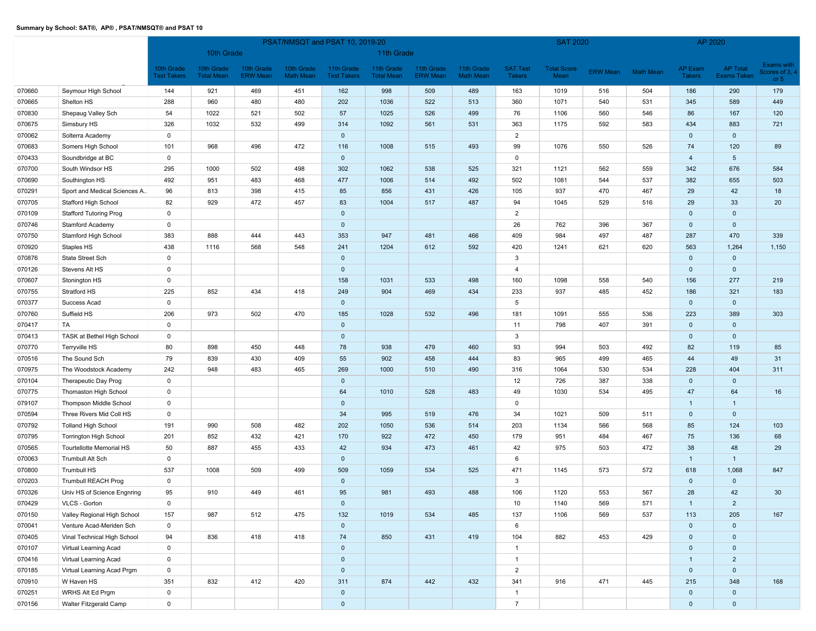|        |                               |                    | PSAT/NMSQT and PSAT 10, 2019-20 |                 |                  |                    |                   |                 |                  |                 | <b>SAT 2020</b>    |                 |                  | AP 2020        |                 |                        |
|--------|-------------------------------|--------------------|---------------------------------|-----------------|------------------|--------------------|-------------------|-----------------|------------------|-----------------|--------------------|-----------------|------------------|----------------|-----------------|------------------------|
|        |                               |                    | 10th Grade                      |                 |                  |                    | 11th Grade        |                 |                  |                 |                    |                 |                  |                |                 |                        |
|        |                               | 10th Grade         | 10th Grade                      | 10th Grade      | 10th Grade       | 11th Grade         | 11th Grade        | 11th Grade      | 11th Grade       | <b>SAT Test</b> | <b>Total Score</b> |                 |                  | <b>AP Exam</b> | <b>AP Total</b> | Exams with             |
|        |                               | <b>Test Takers</b> | <b>Total Mean</b>               | <b>ERW Mean</b> | <b>Math Mean</b> | <b>Test Takers</b> | <b>Total Mean</b> | <b>ERW Mean</b> | <b>Math Mean</b> | <b>Takers</b>   | Mean               | <b>ERW Mean</b> | <b>Math Mean</b> | <b>Takers</b>  | Exams Taken     | Scores of 3,<br>or $5$ |
| 070660 | Seymour High School           | 144                | 921                             | 469             | 451              | 162                | 998               | 509             | 489              | 163             | 1019               | 516             | 504              | 186            | 290             | 179                    |
| 070665 | Shelton HS                    | 288                | 960                             | 480             | 480              | 202                | 1036              | 522             | 513              | 360             | 1071               | 540             | 531              | 345            | 589             | 449                    |
| 070830 | Shepaug Valley Sch            | 54                 | 1022                            | 521             | 502              | 57                 | 1025              | 526             | 499              | 76              | 1106               | 560             | 546              | 86             | 167             | 120                    |
| 070675 | Simsbury HS                   | 326                | 1032                            | 532             | 499              | 314                | 1092              | 561             | 531              | 363             | 1175               | 592             | 583              | 434            | 883             | 721                    |
| 070062 | Solterra Academy              | $\mathbf 0$        |                                 |                 |                  | $\mathbf 0$        |                   |                 |                  | $\overline{2}$  |                    |                 |                  | $\mathbf 0$    | $\mathbf 0$     |                        |
| 070683 | Somers High School            | 101                | 968                             | 496             | 472              | 116                | 1008              | 515             | 493              | 99              | 1076               | 550             | 526              | 74             | 120             | 89                     |
| 070433 | Soundbridge at BC             | $\mathsf 0$        |                                 |                 |                  | $\mathbf 0$        |                   |                 |                  | $\mathbf 0$     |                    |                 |                  | $\overline{4}$ | $5\phantom{.0}$ |                        |
| 070700 | South Windsor HS              | 295                | 1000                            | 502             | 498              | 302                | 1062              | 538             | 525              | 321             | 1121               | 562             | 559              | 342            | 676             | 584                    |
| 070690 | Southington HS                | 492                | 951                             | 483             | 468              | 477                | 1006              | 514             | 492              | 502             | 1081               | 544             | 537              | 382            | 655             | 503                    |
| 070291 | Sport and Medical Sciences A  | 96                 | 813                             | 398             | 415              | 85                 | 856               | 431             | 426              | 105             | 937                | 470             | 467              | 29             | 42              | 18                     |
| 070705 | Stafford High School          | 82                 | 929                             | 472             | 457              | 83                 | 1004              | 517             | 487              | 94              | 1045               | 529             | 516              | 29             | 33              | 20                     |
| 070109 | <b>Stafford Tutoring Prog</b> | $\mathsf 0$        |                                 |                 |                  | $\mathbf{0}$       |                   |                 |                  | $\overline{2}$  |                    |                 |                  | $\mathbf 0$    | $\mathbf 0$     |                        |
| 070746 | <b>Stamford Academy</b>       | $\mathsf 0$        |                                 |                 |                  | $\mathbf 0$        |                   |                 |                  | 26              | 762                | 396             | 367              | $\mathbf{0}$   | $\mathbf 0$     |                        |
| 070750 | Stamford High School          | 383                | 888                             | 444             | 443              | 353                | 947               | 481             | 466              | 409             | 984                | 497             | 487              | 287            | 470             | 339                    |
| 070920 | Staples HS                    | 438                | 1116                            | 568             | 548              | 241                | 1204              | 612             | 592              | 420             | 1241               | 621             | 620              | 563            | 1,264           | 1,150                  |
| 070876 | State Street Sch              | $\mathsf 0$        |                                 |                 |                  | $\mathbf 0$        |                   |                 |                  | 3               |                    |                 |                  | $\mathbf 0$    | $\mathbf 0$     |                        |
| 070126 | Stevens Alt HS                | $\mathbf 0$        |                                 |                 |                  | $\mathbf{0}$       |                   |                 |                  | 4               |                    |                 |                  | $\mathbf 0$    | $\mathbf 0$     |                        |
| 070607 | Stonington HS                 | $\mathsf 0$        |                                 |                 |                  | 158                | 1031              | 533             | 498              | 160             | 1098               | 558             | 540              | 156            | 277             | 219                    |
| 070755 | Stratford HS                  | 225                | 852                             | 434             | 418              | 249                | 904               | 469             | 434              | 233             | 937                | 485             | 452              | 186            | 321             | 183                    |
| 070377 | Success Acad                  | $\mathbf 0$        |                                 |                 |                  | $\mathbf 0$        |                   |                 |                  | 5               |                    |                 |                  | $\mathbf 0$    | $\mathbf 0$     |                        |
| 070760 | Suffield HS                   | 206                | 973                             | 502             | 470              | 185                | 1028              | 532             | 496              | 181             | 1091               | 555             | 536              | 223            | 389             | 303                    |
| 070417 | TA                            | $\mathsf 0$        |                                 |                 |                  | $\mathbf 0$        |                   |                 |                  | 11              | 798                | 407             | 391              | $\mathbf 0$    | $\mathbf 0$     |                        |
| 070413 | TASK at Bethel High School    | $\mathsf 0$        |                                 |                 |                  | $\mathbf 0$        |                   |                 |                  | 3               |                    |                 |                  | $\mathbf 0$    | $\mathbf 0$     |                        |
| 070770 | Terryville HS                 | 80                 | 898                             | 450             | 448              | 78                 | 938               | 479             | 460              | 93              | 994                | 503             | 492              | 82             | 119             | 85                     |
| 070516 | The Sound Sch                 | 79                 | 839                             | 430             | 409              | 55                 | 902               | 458             | 444              | 83              | 965                | 499             | 465              | 44             | 49              | 31                     |
| 070975 | The Woodstock Academy         | 242                | 948                             | 483             | 465              | 269                | 1000              | 510             | 490              | 316             | 1064               | 530             | 534              | 228            | 404             | 311                    |
| 070104 | Therapeutic Day Prog          | $\mathsf 0$        |                                 |                 |                  | $\mathbf 0$        |                   |                 |                  | 12              | 726                | 387             | 338              | $\mathbf 0$    | $\mathbf 0$     |                        |
| 070775 | Thomaston High School         | $\mathbf 0$        |                                 |                 |                  | 64                 | 1010              | 528             | 483              | 49              | 1030               | 534             | 495              | 47             | 64              | 16                     |
| 079107 | Thompson Middle School        | $\mathbf 0$        |                                 |                 |                  | $\mathbf 0$        |                   |                 |                  | $\mathbf 0$     |                    |                 |                  | $\mathbf{1}$   | $\mathbf{1}$    |                        |
| 070594 | Three Rivers Mid Coll HS      | $\mathbf 0$        |                                 |                 |                  | 34                 | 995               | 519             | 476              | 34              | 1021               | 509             | 511              | $\mathbf 0$    | $\mathbf 0$     |                        |
| 070792 | <b>Tolland High School</b>    | 191                | 990                             | 508             | 482              | 202                | 1050              | 536             | 514              | 203             | 1134               | 566             | 568              | 85             | 124             | 103                    |
| 070795 | <b>Torrington High School</b> | 201                | 852                             | 432             | 421              | 170                | 922               | 472             | 450              | 179             | 951                | 484             | 467              | 75             | 136             | 68                     |
| 070565 | Tourtellotte Memorial HS      | 50                 | 887                             | 455             | 433              | 42                 | 934               | 473             | 461              | 42              | 975                | 503             | 472              | 38             | 48              | 29                     |
| 070063 | Trumbull Alt Sch              | $\mathsf 0$        |                                 |                 |                  | $\mathbf 0$        |                   |                 |                  | 6               |                    |                 |                  | $\overline{1}$ | $\mathbf{1}$    |                        |
| 070800 | Trumbull HS                   | 537                | 1008                            | 509             | 499              | 509                | 1059              | 534             | 525              | 471             | 1145               | 573             | 572              | 618            | 1,068           | 847                    |
| 070203 | <b>Trumbull REACH Prog</b>    | $\mathsf 0$        |                                 |                 |                  | $\mathbf{0}$       |                   |                 |                  | 3               |                    |                 |                  | $\mathbf 0$    | $\mathbf 0$     |                        |
| 070326 | Univ HS of Science Engnring   | 95                 | 910                             | 449             | 461              | 95                 | 981               | 493             | 488              | 106             | 1120               | 553             | 567              | 28             | 42              | 30                     |
| 070429 | VLCS - Gorton                 | $\mathsf 0$        |                                 |                 |                  | $\mathbf 0$        |                   |                 |                  | 10              | 1140               | 569             | 571              | $\overline{1}$ | $\overline{2}$  |                        |
| 070150 | Valley Regional High School   | 157                | 987                             | 512             | 475              | 132                | 1019              | 534             | 485              | 137             | 1106               | 569             | 537              | 113            | 205             | 167                    |
| 070041 | Venture Acad-Meriden Sch      | $\mathsf 0$        |                                 |                 |                  | $\mathbf{0}$       |                   |                 |                  | 6               |                    |                 |                  | $\mathbf 0$    | $\mathbf 0$     |                        |
| 070405 | Vinal Technical High School   | 94                 | 836                             | 418             | 418              | 74                 | 850               | 431             | 419              | 104             | 882                | 453             | 429              | $\mathbf 0$    | $\mathbf 0$     |                        |
| 070107 | Virtual Learning Acad         | $\mathsf 0$        |                                 |                 |                  | $\mathbf{0}$       |                   |                 |                  | $\mathbf{1}$    |                    |                 |                  | $\mathbf 0$    | $\mathbf 0$     |                        |
| 070416 | Virtual Learning Acad         | $\mathsf 0$        |                                 |                 |                  | $\mathbf 0$        |                   |                 |                  | $\mathbf{1}$    |                    |                 |                  | $\overline{1}$ | $\overline{2}$  |                        |
| 070185 | Virtual Learning Acad Prgm    | $\mathbf 0$        |                                 |                 |                  | $\mathbf{0}$       |                   |                 |                  | $\overline{2}$  |                    |                 |                  | $\mathbf 0$    | $\mathbf{0}$    |                        |
| 070910 | W Haven HS                    | 351                | 832                             | 412             | 420              | 311                | 874               | 442             | 432              | 341             | 916                | 471             | 445              | 215            | 348             | 168                    |
| 070251 | WRHS Alt Ed Prgm              | $\mathsf 0$        |                                 |                 |                  | $\mathbf{0}$       |                   |                 |                  | $\mathbf{1}$    |                    |                 |                  | $\mathbf 0$    | $\mathbf{0}$    |                        |
| 070156 | Walter Fitzgerald Camp        | $\mathbf 0$        |                                 |                 |                  | $\mathbf{0}$       |                   |                 |                  | $\overline{7}$  |                    |                 |                  | $\mathbf{0}$   | $\mathbf{0}$    |                        |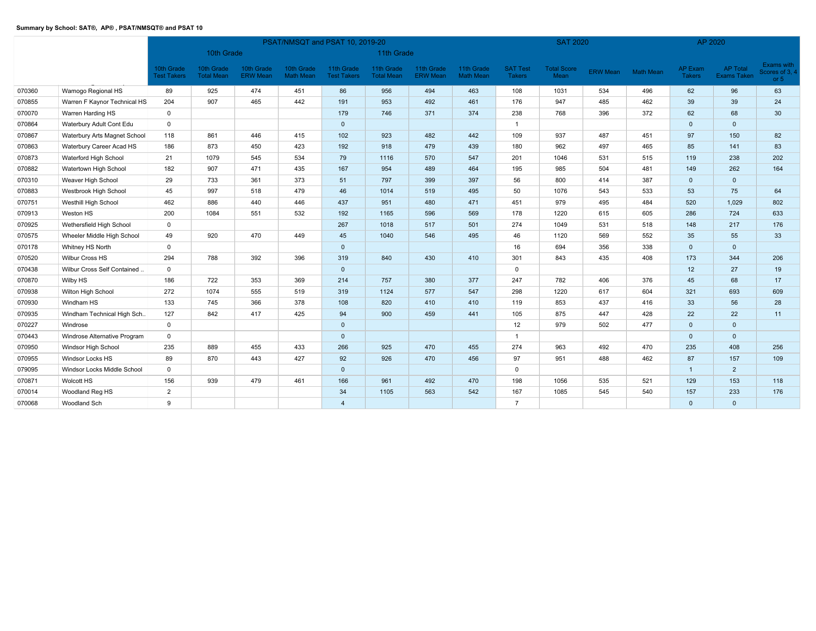|        |                              |                                  |                                 |                               |                                | PSAT/NMSQT and PSAT 10, 2019-20  |                                 |                               |                                |                                  | <b>SAT 2020</b>            |                 |           | AP 2020                         |                                       |                                        |
|--------|------------------------------|----------------------------------|---------------------------------|-------------------------------|--------------------------------|----------------------------------|---------------------------------|-------------------------------|--------------------------------|----------------------------------|----------------------------|-----------------|-----------|---------------------------------|---------------------------------------|----------------------------------------|
|        |                              |                                  | 10th Grade                      |                               |                                |                                  | 11th Grade                      |                               |                                |                                  |                            |                 |           |                                 |                                       |                                        |
|        |                              | 10th Grade<br><b>Test Takers</b> | 10th Grade<br><b>Total Mean</b> | 10th Grade<br><b>ERW Mean</b> | 10th Grade<br><b>Math Mean</b> | 11th Grade<br><b>Test Takers</b> | 11th Grade<br><b>Total Mean</b> | 11th Grade<br><b>ERW Mean</b> | 11th Grade<br><b>Math Mean</b> | <b>SAT Test</b><br><b>Takers</b> | <b>Total Score</b><br>Mean | <b>ERW Mean</b> | Math Mean | <b>AP Exam</b><br><b>Takers</b> | <b>AP Total</b><br><b>Exams Taken</b> | Exams with<br>Scores of 3, 4<br>or $5$ |
| 070360 | Wamogo Regional HS           | 89                               | 925                             | 474                           | 451                            | 86                               | 956                             | 494                           | 463                            | 108                              | 1031                       | 534             | 496       | 62                              | 96                                    | 63                                     |
| 070855 | Warren F Kaynor Technical HS | 204                              | 907                             | 465                           | 442                            | 191                              | 953                             | 492                           | 461                            | 176                              | 947                        | 485             | 462       | 39                              | 39                                    | 24                                     |
| 070070 | Warren Harding HS            | $\mathsf 0$                      |                                 |                               |                                | 179                              | 746                             | 371                           | 374                            | 238                              | 768                        | 396             | 372       | 62                              | 68                                    | 30                                     |
| 070864 | Waterbury Adult Cont Edu     | $\mathbf 0$                      |                                 |                               |                                | $\mathbf{0}$                     |                                 |                               |                                | $\overline{1}$                   |                            |                 |           | $\mathbf{0}$                    | $\mathbf{0}$                          |                                        |
| 070867 | Waterbury Arts Magnet School | 118                              | 861                             | 446                           | 415                            | 102                              | 923                             | 482                           | 442                            | 109                              | 937                        | 487             | 451       | 97                              | 150                                   | 82                                     |
| 070863 | Waterbury Career Acad HS     | 186                              | 873                             | 450                           | 423                            | 192                              | 918                             | 479                           | 439                            | 180                              | 962                        | 497             | 465       | 85                              | 141                                   | 83                                     |
| 070873 | Waterford High School        | 21                               | 1079                            | 545                           | 534                            | 79                               | 1116                            | 570                           | 547                            | 201                              | 1046                       | 531             | 515       | 119                             | 238                                   | 202                                    |
| 070882 | Watertown High School        | 182                              | 907                             | 471                           | 435                            | 167                              | 954                             | 489                           | 464                            | 195                              | 985                        | 504             | 481       | 149                             | 262                                   | 164                                    |
| 070310 | Weaver High School           | 29                               | 733                             | 361                           | 373                            | 51                               | 797                             | 399                           | 397                            | 56                               | 800                        | 414             | 387       | $\mathbf{0}$                    | $\Omega$                              |                                        |
| 070883 | Westbrook High School        | 45                               | 997                             | 518                           | 479                            | 46                               | 1014                            | 519                           | 495                            | 50                               | 1076                       | 543             | 533       | 53                              | 75                                    | 64                                     |
| 070751 | Westhill High School         | 462                              | 886                             | 440                           | 446                            | 437                              | 951                             | 480                           | 471                            | 451                              | 979                        | 495             | 484       | 520                             | 1,029                                 | 802                                    |
| 070913 | Weston HS                    | 200                              | 1084                            | 551                           | 532                            | 192                              | 1165                            | 596                           | 569                            | 178                              | 1220                       | 615             | 605       | 286                             | 724                                   | 633                                    |
| 070925 | Wethersfield High School     | $\mathbf 0$                      |                                 |                               |                                | 267                              | 1018                            | 517                           | 501                            | 274                              | 1049                       | 531             | 518       | 148                             | 217                                   | 176                                    |
| 070575 | Wheeler Middle High School   | 49                               | 920                             | 470                           | 449                            | 45                               | 1040                            | 546                           | 495                            | 46                               | 1120                       | 569             | 552       | 35                              | 55                                    | 33                                     |
| 070178 | Whitney HS North             | $\mathbf{0}$                     |                                 |                               |                                | $\mathbf{0}$                     |                                 |                               |                                | 16                               | 694                        | 356             | 338       | $\mathbf{0}$                    | $\mathbf{0}$                          |                                        |
| 070520 | <b>Wilbur Cross HS</b>       | 294                              | 788                             | 392                           | 396                            | 319                              | 840                             | 430                           | 410                            | 301                              | 843                        | 435             | 408       | 173                             | 344                                   | 206                                    |
| 070438 | Wilbur Cross Self Contained  | $\mathbf 0$                      |                                 |                               |                                | $\mathbf{0}$                     |                                 |                               |                                | $\mathbf 0$                      |                            |                 |           | 12                              | 27                                    | 19                                     |
| 070870 | Wilby HS                     | 186                              | 722                             | 353                           | 369                            | 214                              | 757                             | 380                           | 377                            | 247                              | 782                        | 406             | 376       | 45                              | 68                                    | 17                                     |
| 070938 | Wilton High School           | 272                              | 1074                            | 555                           | 519                            | 319                              | 1124                            | 577                           | 547                            | 298                              | 1220                       | 617             | 604       | 321                             | 693                                   | 609                                    |
| 070930 | Windham HS                   | 133                              | 745                             | 366                           | 378                            | 108                              | 820                             | 410                           | 410                            | 119                              | 853                        | 437             | 416       | 33                              | 56                                    | 28                                     |
| 070935 | Windham Technical High Sch   | 127                              | 842                             | 417                           | 425                            | 94                               | 900                             | 459                           | 441                            | 105                              | 875                        | 447             | 428       | 22                              | 22                                    | 11                                     |
| 070227 | Windrose                     | $\mathbf 0$                      |                                 |                               |                                | $\mathbf{0}$                     |                                 |                               |                                | 12                               | 979                        | 502             | 477       | $\mathbf 0$                     | $\mathbf 0$                           |                                        |
| 070443 | Windrose Alternative Program | $\mathsf 0$                      |                                 |                               |                                | $\mathbf{0}$                     |                                 |                               |                                |                                  |                            |                 |           | $\mathbf 0$                     | $\mathbf{0}$                          |                                        |
| 070950 | Windsor High School          | 235                              | 889                             | 455                           | 433                            | 266                              | 925                             | 470                           | 455                            | 274                              | 963                        | 492             | 470       | 235                             | 408                                   | 256                                    |
| 070955 | Windsor Locks HS             | 89                               | 870                             | 443                           | 427                            | 92                               | 926                             | 470                           | 456                            | 97                               | 951                        | 488             | 462       | 87                              | 157                                   | 109                                    |
| 079095 | Windsor Locks Middle School  | $\mathbf 0$                      |                                 |                               |                                | $\mathbf{0}$                     |                                 |                               |                                | $\mathbf 0$                      |                            |                 |           | $\overline{1}$                  | 2                                     |                                        |
| 070871 | Wolcott HS                   | 156                              | 939                             | 479                           | 461                            | 166                              | 961                             | 492                           | 470                            | 198                              | 1056                       | 535             | 521       | 129                             | 153                                   | 118                                    |
| 070014 | Woodland Reg HS              | $\overline{2}$                   |                                 |                               |                                | 34                               | 1105                            | 563                           | 542                            | 167                              | 1085                       | 545             | 540       | 157                             | 233                                   | 176                                    |
| 070068 | Woodland Sch                 | 9                                |                                 |                               |                                | $\overline{4}$                   |                                 |                               |                                | $\overline{7}$                   |                            |                 |           | $\mathbf{0}$                    | $\Omega$                              |                                        |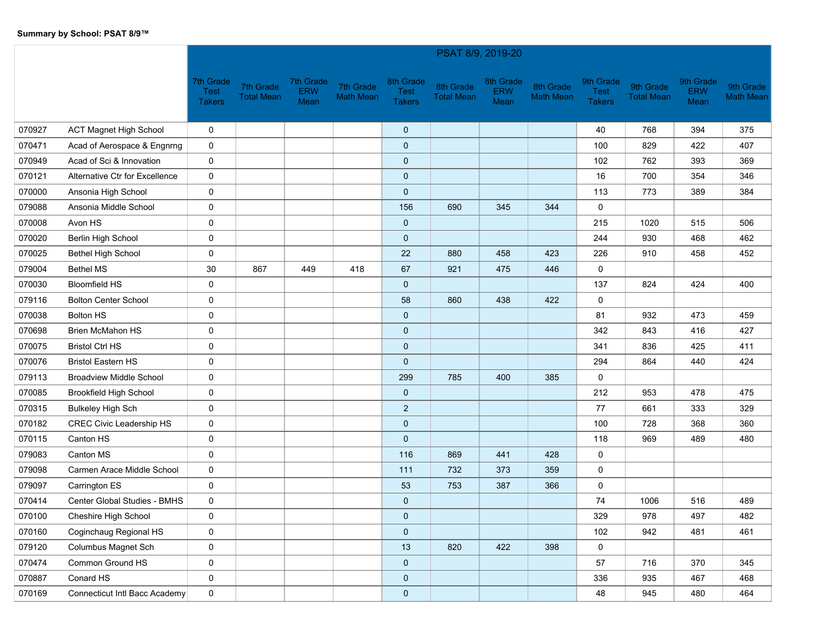|        |                                 |                                           |                                |                                 |                               |                                    | PSAT 8/9, 2019-20              |                                 |                               |                                    |                                |                                 |                               |
|--------|---------------------------------|-------------------------------------------|--------------------------------|---------------------------------|-------------------------------|------------------------------------|--------------------------------|---------------------------------|-------------------------------|------------------------------------|--------------------------------|---------------------------------|-------------------------------|
|        |                                 | 7th Grade<br><b>Test</b><br><b>Takers</b> | 7th Grade<br><b>Total Mean</b> | 7th Grade<br><b>ERW</b><br>Mean | 7th Grade<br><b>Math Mean</b> | 8th Grade<br>Test<br><b>Takers</b> | 8th Grade<br><b>Total Mean</b> | 8th Grade<br><b>ERW</b><br>Mean | 8th Grade<br><b>Math Mean</b> | 9th Grade<br>Test<br><b>Takers</b> | 9th Grade<br><b>Total Mean</b> | 9th Grade<br><b>ERW</b><br>Mean | 9th Grade<br><b>Math Mean</b> |
| 070927 | <b>ACT Magnet High School</b>   | 0                                         |                                |                                 |                               | $\mathbf 0$                        |                                |                                 |                               | 40                                 | 768                            | 394                             | 375                           |
| 070471 | Acad of Aerospace & Engnrng     | 0                                         |                                |                                 |                               | $\mathbf 0$                        |                                |                                 |                               | 100                                | 829                            | 422                             | 407                           |
| 070949 | Acad of Sci & Innovation        | 0                                         |                                |                                 |                               | $\pmb{0}$                          |                                |                                 |                               | 102                                | 762                            | 393                             | 369                           |
| 070121 | Alternative Ctr for Excellence  | 0                                         |                                |                                 |                               | $\mathbf 0$                        |                                |                                 |                               | 16                                 | 700                            | 354                             | 346                           |
| 070000 | Ansonia High School             | 0                                         |                                |                                 |                               | $\mathbf 0$                        |                                |                                 |                               | 113                                | 773                            | 389                             | 384                           |
| 079088 | Ansonia Middle School           | 0                                         |                                |                                 |                               | 156                                | 690                            | 345                             | 344                           | 0                                  |                                |                                 |                               |
| 070008 | Avon HS                         | 0                                         |                                |                                 |                               | $\pmb{0}$                          |                                |                                 |                               | 215                                | 1020                           | 515                             | 506                           |
| 070020 | Berlin High School              | 0                                         |                                |                                 |                               | $\mathbf 0$                        |                                |                                 |                               | 244                                | 930                            | 468                             | 462                           |
| 070025 | <b>Bethel High School</b>       | $\mathbf 0$                               |                                |                                 |                               | 22                                 | 880                            | 458                             | 423                           | 226                                | 910                            | 458                             | 452                           |
| 079004 | <b>Bethel MS</b>                | 30                                        | 867                            | 449                             | 418                           | 67                                 | 921                            | 475                             | 446                           | 0                                  |                                |                                 |                               |
| 070030 | <b>Bloomfield HS</b>            | 0                                         |                                |                                 |                               | $\mathbf 0$                        |                                |                                 |                               | 137                                | 824                            | 424                             | 400                           |
| 079116 | <b>Bolton Center School</b>     | 0                                         |                                |                                 |                               | 58                                 | 860                            | 438                             | 422                           | 0                                  |                                |                                 |                               |
| 070038 | <b>Bolton HS</b>                | 0                                         |                                |                                 |                               | $\mathbf 0$                        |                                |                                 |                               | 81                                 | 932                            | 473                             | 459                           |
| 070698 | <b>Brien McMahon HS</b>         | 0                                         |                                |                                 |                               | $\mathbf 0$                        |                                |                                 |                               | 342                                | 843                            | 416                             | 427                           |
| 070075 | <b>Bristol Ctrl HS</b>          | 0                                         |                                |                                 |                               | $\mathbf 0$                        |                                |                                 |                               | 341                                | 836                            | 425                             | 411                           |
| 070076 | <b>Bristol Eastern HS</b>       | 0                                         |                                |                                 |                               | $\mathbf 0$                        |                                |                                 |                               | 294                                | 864                            | 440                             | 424                           |
| 079113 | <b>Broadview Middle School</b>  | 0                                         |                                |                                 |                               | 299                                | 785                            | 400                             | 385                           | 0                                  |                                |                                 |                               |
| 070085 | <b>Brookfield High School</b>   | 0                                         |                                |                                 |                               | $\mathbf 0$                        |                                |                                 |                               | 212                                | 953                            | 478                             | 475                           |
| 070315 | <b>Bulkeley High Sch</b>        | 0                                         |                                |                                 |                               | $\overline{c}$                     |                                |                                 |                               | 77                                 | 661                            | 333                             | 329                           |
| 070182 | <b>CREC Civic Leadership HS</b> | 0                                         |                                |                                 |                               | $\mathbf 0$                        |                                |                                 |                               | 100                                | 728                            | 368                             | 360                           |
| 070115 | Canton HS                       | 0                                         |                                |                                 |                               | $\mathbf 0$                        |                                |                                 |                               | 118                                | 969                            | 489                             | 480                           |
| 079083 | Canton MS                       | 0                                         |                                |                                 |                               | 116                                | 869                            | 441                             | 428                           | 0                                  |                                |                                 |                               |
| 079098 | Carmen Arace Middle School      | 0                                         |                                |                                 |                               | 111                                | 732                            | 373                             | 359                           | 0                                  |                                |                                 |                               |
| 079097 | Carrington ES                   | 0                                         |                                |                                 |                               | 53                                 | 753                            | 387                             | 366                           | 0                                  |                                |                                 |                               |
| 070414 | Center Global Studies - BMHS    | 0                                         |                                |                                 |                               | $\mathbf 0$                        |                                |                                 |                               | 74                                 | 1006                           | 516                             | 489                           |
| 070100 | Cheshire High School            | 0                                         |                                |                                 |                               | $\mathbf 0$                        |                                |                                 |                               | 329                                | 978                            | 497                             | 482                           |
| 070160 | Coginchaug Regional HS          | 0                                         |                                |                                 |                               | $\mathbf 0$                        |                                |                                 |                               | 102                                | 942                            | 481                             | 461                           |
| 079120 | Columbus Magnet Sch             | 0                                         |                                |                                 |                               | 13                                 | 820                            | 422                             | 398                           | $\mathbf 0$                        |                                |                                 |                               |
| 070474 | Common Ground HS                | $\pmb{0}$                                 |                                |                                 |                               | $\pmb{0}$                          |                                |                                 |                               | 57                                 | 716                            | 370                             | 345                           |
| 070887 | Conard HS                       | 0                                         |                                |                                 |                               | $\pmb{0}$                          |                                |                                 |                               | 336                                | 935                            | 467                             | 468                           |
| 070169 | Connecticut Intl Bacc Academy   | $\mathbf 0$                               |                                |                                 |                               | $\pmb{0}$                          |                                |                                 |                               | 48                                 | 945                            | 480                             | 464                           |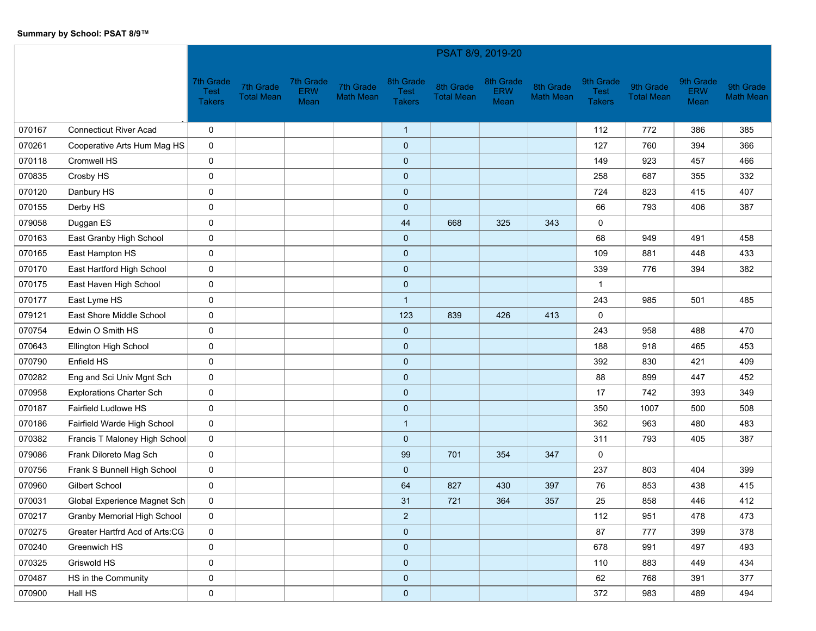|        |                                    |                                           |                                |                          |                               |                                           | PSAT 8/9, 2019-20              |                                 |                               |                                           |                                |                                 |                               |
|--------|------------------------------------|-------------------------------------------|--------------------------------|--------------------------|-------------------------------|-------------------------------------------|--------------------------------|---------------------------------|-------------------------------|-------------------------------------------|--------------------------------|---------------------------------|-------------------------------|
|        |                                    | 7th Grade<br><b>Test</b><br><b>Takers</b> | 7th Grade<br><b>Total Mean</b> | 7th Grade<br>ERW<br>Mean | 7th Grade<br><b>Math Mean</b> | 8th Grade<br><b>Test</b><br><b>Takers</b> | 8th Grade<br><b>Total Mean</b> | 8th Grade<br><b>ERW</b><br>Mean | 8th Grade<br><b>Math Mean</b> | 9th Grade<br><b>Test</b><br><b>Takers</b> | 9th Grade<br><b>Total Mean</b> | 9th Grade<br><b>ERW</b><br>Mean | 9th Grade<br><b>Math Mean</b> |
| 070167 | <b>Connecticut River Acad</b>      | 0                                         |                                |                          |                               | $\mathbf{1}$                              |                                |                                 |                               | 112                                       | 772                            | 386                             | 385                           |
| 070261 | Cooperative Arts Hum Mag HS        | 0                                         |                                |                          |                               | $\mathbf 0$                               |                                |                                 |                               | 127                                       | 760                            | 394                             | 366                           |
| 070118 | Cromwell HS                        | 0                                         |                                |                          |                               | $\pmb{0}$                                 |                                |                                 |                               | 149                                       | 923                            | 457                             | 466                           |
| 070835 | Crosby HS                          | 0                                         |                                |                          |                               | $\mathbf 0$                               |                                |                                 |                               | 258                                       | 687                            | 355                             | 332                           |
| 070120 | Danbury HS                         | 0                                         |                                |                          |                               | $\mathbf 0$                               |                                |                                 |                               | 724                                       | 823                            | 415                             | 407                           |
| 070155 | Derby HS                           | 0                                         |                                |                          |                               | $\mathbf 0$                               |                                |                                 |                               | 66                                        | 793                            | 406                             | 387                           |
| 079058 | Duggan ES                          | 0                                         |                                |                          |                               | 44                                        | 668                            | 325                             | 343                           | 0                                         |                                |                                 |                               |
| 070163 | East Granby High School            | 0                                         |                                |                          |                               | $\mathbf 0$                               |                                |                                 |                               | 68                                        | 949                            | 491                             | 458                           |
| 070165 | East Hampton HS                    | 0                                         |                                |                          |                               | $\mathbf 0$                               |                                |                                 |                               | 109                                       | 881                            | 448                             | 433                           |
| 070170 | East Hartford High School          | 0                                         |                                |                          |                               | $\mathbf 0$                               |                                |                                 |                               | 339                                       | 776                            | 394                             | 382                           |
| 070175 | East Haven High School             | 0                                         |                                |                          |                               | $\pmb{0}$                                 |                                |                                 |                               | $\mathbf{1}$                              |                                |                                 |                               |
| 070177 | East Lyme HS                       | 0                                         |                                |                          |                               | $\mathbf{1}$                              |                                |                                 |                               | 243                                       | 985                            | 501                             | 485                           |
| 079121 | East Shore Middle School           | 0                                         |                                |                          |                               | 123                                       | 839                            | 426                             | 413                           | 0                                         |                                |                                 |                               |
| 070754 | Edwin O Smith HS                   | 0                                         |                                |                          |                               | $\mathbf 0$                               |                                |                                 |                               | 243                                       | 958                            | 488                             | 470                           |
| 070643 | Ellington High School              | 0                                         |                                |                          |                               | $\pmb{0}$                                 |                                |                                 |                               | 188                                       | 918                            | 465                             | 453                           |
| 070790 | Enfield HS                         | 0                                         |                                |                          |                               | $\mathbf 0$                               |                                |                                 |                               | 392                                       | 830                            | 421                             | 409                           |
| 070282 | Eng and Sci Univ Mgnt Sch          | 0                                         |                                |                          |                               | $\mathbf 0$                               |                                |                                 |                               | 88                                        | 899                            | 447                             | 452                           |
| 070958 | <b>Explorations Charter Sch</b>    | 0                                         |                                |                          |                               | $\mathbf 0$                               |                                |                                 |                               | 17                                        | 742                            | 393                             | 349                           |
| 070187 | Fairfield Ludlowe HS               | 0                                         |                                |                          |                               | $\mathbf 0$                               |                                |                                 |                               | 350                                       | 1007                           | 500                             | 508                           |
| 070186 | Fairfield Warde High School        | 0                                         |                                |                          |                               | $\mathbf{1}$                              |                                |                                 |                               | 362                                       | 963                            | 480                             | 483                           |
| 070382 | Francis T Maloney High School      | 0                                         |                                |                          |                               | $\mathbf 0$                               |                                |                                 |                               | 311                                       | 793                            | 405                             | 387                           |
| 079086 | Frank Diloreto Mag Sch             | 0                                         |                                |                          |                               | 99                                        | 701                            | 354                             | 347                           | 0                                         |                                |                                 |                               |
| 070756 | Frank S Bunnell High School        | 0                                         |                                |                          |                               | $\mathbf 0$                               |                                |                                 |                               | 237                                       | 803                            | 404                             | 399                           |
| 070960 | <b>Gilbert School</b>              | 0                                         |                                |                          |                               | 64                                        | 827                            | 430                             | 397                           | 76                                        | 853                            | 438                             | 415                           |
| 070031 | Global Experience Magnet Sch       | 0                                         |                                |                          |                               | 31                                        | 721                            | 364                             | 357                           | 25                                        | 858                            | 446                             | 412                           |
| 070217 | <b>Granby Memorial High School</b> | 0                                         |                                |                          |                               | $\overline{c}$                            |                                |                                 |                               | 112                                       | 951                            | 478                             | 473                           |
| 070275 | Greater Hartfrd Acd of Arts:CG     | $\mathbf 0$                               |                                |                          |                               | $\mathbf 0$                               |                                |                                 |                               | 87                                        | 777                            | 399                             | 378                           |
| 070240 | Greenwich HS                       | $\mathbf 0$                               |                                |                          |                               | $\pmb{0}$                                 |                                |                                 |                               | 678                                       | 991                            | 497                             | 493                           |
| 070325 | Griswold HS                        | 0                                         |                                |                          |                               | $\pmb{0}$                                 |                                |                                 |                               | 110                                       | 883                            | 449                             | 434                           |
| 070487 | HS in the Community                | 0                                         |                                |                          |                               | $\mathbf 0$                               |                                |                                 |                               | 62                                        | 768                            | 391                             | 377                           |
| 070900 | Hall HS                            | $\pmb{0}$                                 |                                |                          |                               | $\pmb{0}$                                 |                                |                                 |                               | 372                                       | 983                            | 489                             | 494                           |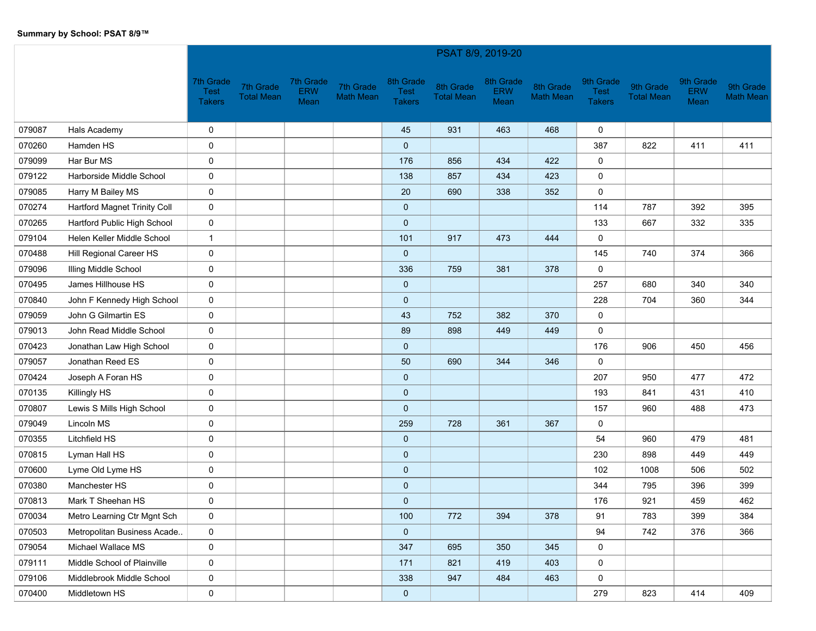|        |                              |                                           |                                |                                 |                               |                                           | PSAT 8/9, 2019-20              |                                 |                               |                                    |                                |                                 |                               |
|--------|------------------------------|-------------------------------------------|--------------------------------|---------------------------------|-------------------------------|-------------------------------------------|--------------------------------|---------------------------------|-------------------------------|------------------------------------|--------------------------------|---------------------------------|-------------------------------|
|        |                              | 7th Grade<br><b>Test</b><br><b>Takers</b> | 7th Grade<br><b>Total Mean</b> | 7th Grade<br><b>ERW</b><br>Mean | 7th Grade<br><b>Math Mean</b> | 8th Grade<br><b>Test</b><br><b>Takers</b> | 8th Grade<br><b>Total Mean</b> | 8th Grade<br><b>ERW</b><br>Mean | 8th Grade<br><b>Math Mean</b> | 9th Grade<br>Test<br><b>Takers</b> | 9th Grade<br><b>Total Mean</b> | 9th Grade<br><b>ERW</b><br>Mean | 9th Grade<br><b>Math Mean</b> |
| 079087 | Hals Academy                 | 0                                         |                                |                                 |                               | 45                                        | 931                            | 463                             | 468                           | 0                                  |                                |                                 |                               |
| 070260 | Hamden HS                    | 0                                         |                                |                                 |                               | $\mathbf 0$                               |                                |                                 |                               | 387                                | 822                            | 411                             | 411                           |
| 079099 | Har Bur MS                   | $\pmb{0}$                                 |                                |                                 |                               | 176                                       | 856                            | 434                             | 422                           | 0                                  |                                |                                 |                               |
| 079122 | Harborside Middle School     | 0                                         |                                |                                 |                               | 138                                       | 857                            | 434                             | 423                           | 0                                  |                                |                                 |                               |
| 079085 | Harry M Bailey MS            | 0                                         |                                |                                 |                               | 20                                        | 690                            | 338                             | 352                           | 0                                  |                                |                                 |                               |
| 070274 | Hartford Magnet Trinity Coll | $\mathbf 0$                               |                                |                                 |                               | $\mathbf 0$                               |                                |                                 |                               | 114                                | 787                            | 392                             | 395                           |
| 070265 | Hartford Public High School  | 0                                         |                                |                                 |                               | $\mathbf 0$                               |                                |                                 |                               | 133                                | 667                            | 332                             | 335                           |
| 079104 | Helen Keller Middle School   | $\mathbf{1}$                              |                                |                                 |                               | 101                                       | 917                            | 473                             | 444                           | 0                                  |                                |                                 |                               |
| 070488 | Hill Regional Career HS      | 0                                         |                                |                                 |                               | $\mathbf 0$                               |                                |                                 |                               | 145                                | 740                            | 374                             | 366                           |
| 079096 | <b>Illing Middle School</b>  | $\mathbf 0$                               |                                |                                 |                               | 336                                       | 759                            | 381                             | 378                           | 0                                  |                                |                                 |                               |
| 070495 | James Hillhouse HS           | 0                                         |                                |                                 |                               | $\mathbf 0$                               |                                |                                 |                               | 257                                | 680                            | 340                             | 340                           |
| 070840 | John F Kennedy High School   | $\mathbf 0$                               |                                |                                 |                               | $\mathbf 0$                               |                                |                                 |                               | 228                                | 704                            | 360                             | 344                           |
| 079059 | John G Gilmartin ES          | 0                                         |                                |                                 |                               | 43                                        | 752                            | 382                             | 370                           | 0                                  |                                |                                 |                               |
| 079013 | John Read Middle School      | $\mathbf 0$                               |                                |                                 |                               | 89                                        | 898                            | 449                             | 449                           | 0                                  |                                |                                 |                               |
| 070423 | Jonathan Law High School     | 0                                         |                                |                                 |                               | $\mathbf 0$                               |                                |                                 |                               | 176                                | 906                            | 450                             | 456                           |
| 079057 | Jonathan Reed ES             | 0                                         |                                |                                 |                               | 50                                        | 690                            | 344                             | 346                           | 0                                  |                                |                                 |                               |
| 070424 | Joseph A Foran HS            | $\pmb{0}$                                 |                                |                                 |                               | $\mathbf 0$                               |                                |                                 |                               | 207                                | 950                            | 477                             | 472                           |
| 070135 | Killingly HS                 | 0                                         |                                |                                 |                               | $\mathbf 0$                               |                                |                                 |                               | 193                                | 841                            | 431                             | 410                           |
| 070807 | Lewis S Mills High School    | 0                                         |                                |                                 |                               | $\mathbf 0$                               |                                |                                 |                               | 157                                | 960                            | 488                             | 473                           |
| 079049 | Lincoln MS                   | 0                                         |                                |                                 |                               | 259                                       | 728                            | 361                             | 367                           | 0                                  |                                |                                 |                               |
| 070355 | <b>Litchfield HS</b>         | 0                                         |                                |                                 |                               | $\mathbf 0$                               |                                |                                 |                               | 54                                 | 960                            | 479                             | 481                           |
| 070815 | Lyman Hall HS                | 0                                         |                                |                                 |                               | $\mathbf 0$                               |                                |                                 |                               | 230                                | 898                            | 449                             | 449                           |
| 070600 | Lyme Old Lyme HS             | 0                                         |                                |                                 |                               | $\mathbf 0$                               |                                |                                 |                               | 102                                | 1008                           | 506                             | 502                           |
| 070380 | Manchester HS                | 0                                         |                                |                                 |                               | $\mathbf 0$                               |                                |                                 |                               | 344                                | 795                            | 396                             | 399                           |
| 070813 | Mark T Sheehan HS            | 0                                         |                                |                                 |                               | $\mathbf 0$                               |                                |                                 |                               | 176                                | 921                            | 459                             | 462                           |
| 070034 | Metro Learning Ctr Mgnt Sch  | 0                                         |                                |                                 |                               | 100                                       | 772                            | 394                             | 378                           | 91                                 | 783                            | 399                             | 384                           |
| 070503 | Metropolitan Business Acade  | 0                                         |                                |                                 |                               | $\mathbf 0$                               |                                |                                 |                               | 94                                 | 742                            | 376                             | 366                           |
| 079054 | Michael Wallace MS           | $\mathbf 0$                               |                                |                                 |                               | 347                                       | 695                            | 350                             | 345                           | 0                                  |                                |                                 |                               |
| 079111 | Middle School of Plainville  | 0                                         |                                |                                 |                               | 171                                       | 821                            | 419                             | 403                           | 0                                  |                                |                                 |                               |
| 079106 | Middlebrook Middle School    | 0                                         |                                |                                 |                               | 338                                       | 947                            | 484                             | 463                           | 0                                  |                                |                                 |                               |
| 070400 | Middletown HS                | $\mathsf{O}\xspace$                       |                                |                                 |                               | $\bf{0}$                                  |                                |                                 |                               | 279                                | 823                            | 414                             | 409                           |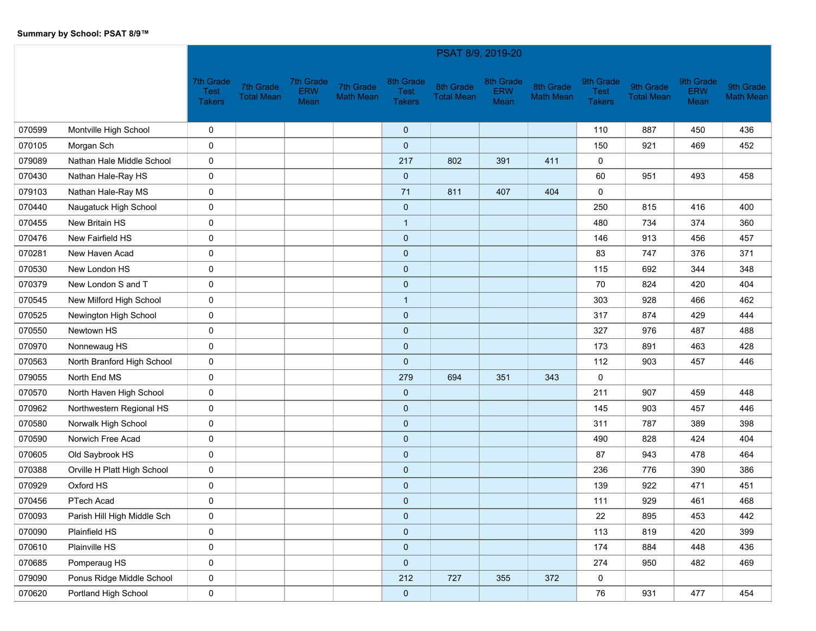|        |                             |                                           |                                |                                 |                               |                                           | PSAT 8/9, 2019-20              |                                 |                               |                                           |                                |                                 |                               |
|--------|-----------------------------|-------------------------------------------|--------------------------------|---------------------------------|-------------------------------|-------------------------------------------|--------------------------------|---------------------------------|-------------------------------|-------------------------------------------|--------------------------------|---------------------------------|-------------------------------|
|        |                             | 7th Grade<br><b>Test</b><br><b>Takers</b> | 7th Grade<br><b>Total Mean</b> | 7th Grade<br><b>ERW</b><br>Mean | 7th Grade<br><b>Math Mean</b> | 8th Grade<br><b>Test</b><br><b>Takers</b> | 8th Grade<br><b>Total Mean</b> | 8th Grade<br><b>ERW</b><br>Mean | 8th Grade<br><b>Math Mean</b> | 9th Grade<br><b>Test</b><br><b>Takers</b> | 9th Grade<br><b>Total Mean</b> | 9th Grade<br><b>ERW</b><br>Mean | 9th Grade<br><b>Math Mean</b> |
| 070599 | Montville High School       | 0                                         |                                |                                 |                               | $\mathbf 0$                               |                                |                                 |                               | 110                                       | 887                            | 450                             | 436                           |
| 070105 | Morgan Sch                  | $\mathbf 0$                               |                                |                                 |                               | $\mathbf 0$                               |                                |                                 |                               | 150                                       | 921                            | 469                             | 452                           |
| 079089 | Nathan Hale Middle School   | 0                                         |                                |                                 |                               | 217                                       | 802                            | 391                             | 411                           | 0                                         |                                |                                 |                               |
| 070430 | Nathan Hale-Ray HS          | 0                                         |                                |                                 |                               | $\mathbf 0$                               |                                |                                 |                               | 60                                        | 951                            | 493                             | 458                           |
| 079103 | Nathan Hale-Ray MS          | 0                                         |                                |                                 |                               | 71                                        | 811                            | 407                             | 404                           | 0                                         |                                |                                 |                               |
| 070440 | Naugatuck High School       | 0                                         |                                |                                 |                               | $\mathbf 0$                               |                                |                                 |                               | 250                                       | 815                            | 416                             | 400                           |
| 070455 | New Britain HS              | 0                                         |                                |                                 |                               | $\mathbf{1}$                              |                                |                                 |                               | 480                                       | 734                            | 374                             | 360                           |
| 070476 | New Fairfield HS            | 0                                         |                                |                                 |                               | $\mathbf 0$                               |                                |                                 |                               | 146                                       | 913                            | 456                             | 457                           |
| 070281 | New Haven Acad              | 0                                         |                                |                                 |                               | $\mathbf 0$                               |                                |                                 |                               | 83                                        | 747                            | 376                             | 371                           |
| 070530 | New London HS               | 0                                         |                                |                                 |                               | $\mathbf 0$                               |                                |                                 |                               | 115                                       | 692                            | 344                             | 348                           |
| 070379 | New London S and T          | $\pmb{0}$                                 |                                |                                 |                               | $\mathbf 0$                               |                                |                                 |                               | 70                                        | 824                            | 420                             | 404                           |
| 070545 | New Milford High School     | 0                                         |                                |                                 |                               | $\overline{1}$                            |                                |                                 |                               | 303                                       | 928                            | 466                             | 462                           |
| 070525 | Newington High School       | 0                                         |                                |                                 |                               | $\mathbf 0$                               |                                |                                 |                               | 317                                       | 874                            | 429                             | 444                           |
| 070550 | Newtown HS                  | $\mathbf 0$                               |                                |                                 |                               | $\mathbf 0$                               |                                |                                 |                               | 327                                       | 976                            | 487                             | 488                           |
| 070970 | Nonnewaug HS                | 0                                         |                                |                                 |                               | $\mathbf 0$                               |                                |                                 |                               | 173                                       | 891                            | 463                             | 428                           |
| 070563 | North Branford High School  | $\mathbf 0$                               |                                |                                 |                               | $\mathbf 0$                               |                                |                                 |                               | 112                                       | 903                            | 457                             | 446                           |
| 079055 | North End MS                | 0                                         |                                |                                 |                               | 279                                       | 694                            | 351                             | 343                           | 0                                         |                                |                                 |                               |
| 070570 | North Haven High School     | $\mathbf 0$                               |                                |                                 |                               | $\mathbf 0$                               |                                |                                 |                               | 211                                       | 907                            | 459                             | 448                           |
| 070962 | Northwestern Regional HS    | 0                                         |                                |                                 |                               | $\mathbf 0$                               |                                |                                 |                               | 145                                       | 903                            | 457                             | 446                           |
| 070580 | Norwalk High School         | 0                                         |                                |                                 |                               | $\mathbf 0$                               |                                |                                 |                               | 311                                       | 787                            | 389                             | 398                           |
| 070590 | Norwich Free Acad           | 0                                         |                                |                                 |                               | $\mathbf 0$                               |                                |                                 |                               | 490                                       | 828                            | 424                             | 404                           |
| 070605 | Old Saybrook HS             | 0                                         |                                |                                 |                               | $\mathbf 0$                               |                                |                                 |                               | 87                                        | 943                            | 478                             | 464                           |
| 070388 | Orville H Platt High School | 0                                         |                                |                                 |                               | $\mathbf 0$                               |                                |                                 |                               | 236                                       | 776                            | 390                             | 386                           |
| 070929 | Oxford HS                   | 0                                         |                                |                                 |                               | $\mathbf 0$                               |                                |                                 |                               | 139                                       | 922                            | 471                             | 451                           |
| 070456 | PTech Acad                  | $\mathbf 0$                               |                                |                                 |                               | $\mathbf 0$                               |                                |                                 |                               | 111                                       | 929                            | 461                             | 468                           |
| 070093 | Parish Hill High Middle Sch | 0                                         |                                |                                 |                               | $\mathbf 0$                               |                                |                                 |                               | 22                                        | 895                            | 453                             | 442                           |
| 070090 | Plainfield HS               | 0                                         |                                |                                 |                               | $\mathbf 0$                               |                                |                                 |                               | 113                                       | 819                            | 420                             | 399                           |
| 070610 | Plainville HS               | $\mathbf 0$                               |                                |                                 |                               | $\mathbf{0}$                              |                                |                                 |                               | 174                                       | 884                            | 448                             | 436                           |
| 070685 | Pomperaug HS                | 0                                         |                                |                                 |                               | $\mathbf 0$                               |                                |                                 |                               | 274                                       | 950                            | 482                             | 469                           |
| 079090 | Ponus Ridge Middle School   | $\mathbf 0$                               |                                |                                 |                               | 212                                       | 727                            | 355                             | 372                           | 0                                         |                                |                                 |                               |
| 070620 | Portland High School        | 0                                         |                                |                                 |                               | $\bf{0}$                                  |                                |                                 |                               | 76                                        | 931                            | 477                             | 454                           |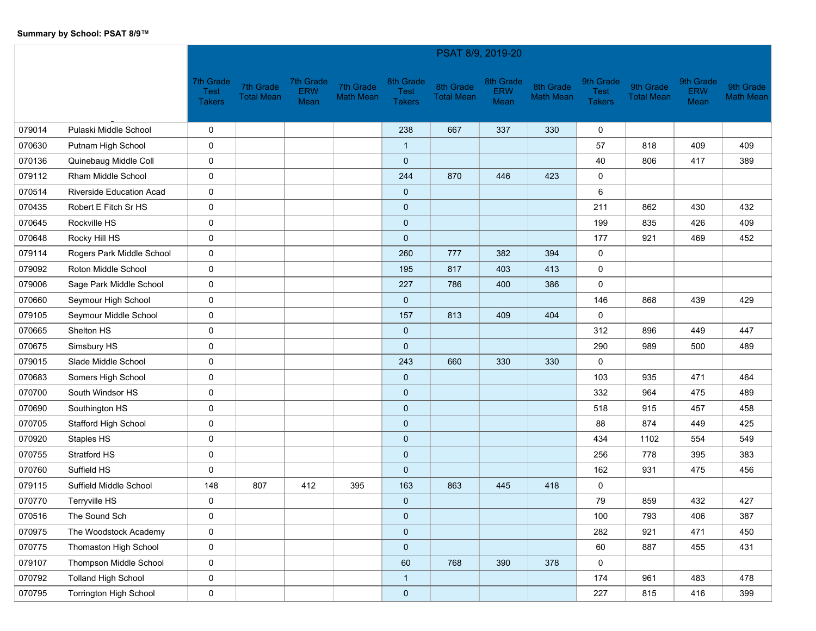|        |                                 |                                           |                                |                                 |                               |                                           | PSAT 8/9, 2019-20              |                                 |                               |                                    |                                |                                 |                               |
|--------|---------------------------------|-------------------------------------------|--------------------------------|---------------------------------|-------------------------------|-------------------------------------------|--------------------------------|---------------------------------|-------------------------------|------------------------------------|--------------------------------|---------------------------------|-------------------------------|
|        |                                 | 7th Grade<br><b>Test</b><br><b>Takers</b> | 7th Grade<br><b>Total Mean</b> | 7th Grade<br><b>ERW</b><br>Mean | 7th Grade<br><b>Math Mean</b> | 8th Grade<br><b>Test</b><br><b>Takers</b> | 8th Grade<br><b>Total Mean</b> | 8th Grade<br><b>ERW</b><br>Mean | 8th Grade<br><b>Math Mean</b> | 9th Grade<br>Test<br><b>Takers</b> | 9th Grade<br><b>Total Mean</b> | 9th Grade<br><b>ERW</b><br>Mean | 9th Grade<br><b>Math Mean</b> |
| 079014 | Pulaski Middle School           | 0                                         |                                |                                 |                               | 238                                       | 667                            | 337                             | 330                           | $\mathbf 0$                        |                                |                                 |                               |
| 070630 | Putnam High School              | 0                                         |                                |                                 |                               | $\mathbf{1}$                              |                                |                                 |                               | 57                                 | 818                            | 409                             | 409                           |
| 070136 | Quinebaug Middle Coll           | 0                                         |                                |                                 |                               | $\mathbf 0$                               |                                |                                 |                               | 40                                 | 806                            | 417                             | 389                           |
| 079112 | Rham Middle School              | 0                                         |                                |                                 |                               | 244                                       | 870                            | 446                             | 423                           | 0                                  |                                |                                 |                               |
| 070514 | <b>Riverside Education Acad</b> | 0                                         |                                |                                 |                               | $\mathbf 0$                               |                                |                                 |                               | 6                                  |                                |                                 |                               |
| 070435 | Robert E Fitch Sr HS            | 0                                         |                                |                                 |                               | $\pmb{0}$                                 |                                |                                 |                               | 211                                | 862                            | 430                             | 432                           |
| 070645 | Rockville HS                    | 0                                         |                                |                                 |                               | $\pmb{0}$                                 |                                |                                 |                               | 199                                | 835                            | 426                             | 409                           |
| 070648 | Rocky Hill HS                   | 0                                         |                                |                                 |                               | $\mathbf 0$                               |                                |                                 |                               | 177                                | 921                            | 469                             | 452                           |
| 079114 | Rogers Park Middle School       | 0                                         |                                |                                 |                               | 260                                       | 777                            | 382                             | 394                           | 0                                  |                                |                                 |                               |
| 079092 | Roton Middle School             | 0                                         |                                |                                 |                               | 195                                       | 817                            | 403                             | 413                           | 0                                  |                                |                                 |                               |
| 079006 | Sage Park Middle School         | 0                                         |                                |                                 |                               | 227                                       | 786                            | 400                             | 386                           | 0                                  |                                |                                 |                               |
| 070660 | Seymour High School             | 0                                         |                                |                                 |                               | $\mathbf 0$                               |                                |                                 |                               | 146                                | 868                            | 439                             | 429                           |
| 079105 | Seymour Middle School           | 0                                         |                                |                                 |                               | 157                                       | 813                            | 409                             | 404                           | $\mathbf 0$                        |                                |                                 |                               |
| 070665 | Shelton HS                      | 0                                         |                                |                                 |                               | $\mathbf 0$                               |                                |                                 |                               | 312                                | 896                            | 449                             | 447                           |
| 070675 | Simsbury HS                     | 0                                         |                                |                                 |                               | $\mathbf 0$                               |                                |                                 |                               | 290                                | 989                            | 500                             | 489                           |
| 079015 | Slade Middle School             | 0                                         |                                |                                 |                               | 243                                       | 660                            | 330                             | 330                           | 0                                  |                                |                                 |                               |
| 070683 | Somers High School              | 0                                         |                                |                                 |                               | $\mathbf 0$                               |                                |                                 |                               | 103                                | 935                            | 471                             | 464                           |
| 070700 | South Windsor HS                | 0                                         |                                |                                 |                               | $\pmb{0}$                                 |                                |                                 |                               | 332                                | 964                            | 475                             | 489                           |
| 070690 | Southington HS                  | 0                                         |                                |                                 |                               | $\mathbf 0$                               |                                |                                 |                               | 518                                | 915                            | 457                             | 458                           |
| 070705 | Stafford High School            | 0                                         |                                |                                 |                               | $\mathbf 0$                               |                                |                                 |                               | 88                                 | 874                            | 449                             | 425                           |
| 070920 | Staples HS                      | 0                                         |                                |                                 |                               | $\mathbf 0$                               |                                |                                 |                               | 434                                | 1102                           | 554                             | 549                           |
| 070755 | Stratford HS                    | 0                                         |                                |                                 |                               | $\pmb{0}$                                 |                                |                                 |                               | 256                                | 778                            | 395                             | 383                           |
| 070760 | Suffield HS                     | $\mathbf 0$                               |                                |                                 |                               | $\mathbf 0$                               |                                |                                 |                               | 162                                | 931                            | 475                             | 456                           |
| 079115 | Suffield Middle School          | 148                                       | 807                            | 412                             | 395                           | 163                                       | 863                            | 445                             | 418                           | 0                                  |                                |                                 |                               |
| 070770 | Terryville HS                   | 0                                         |                                |                                 |                               | $\mathbf 0$                               |                                |                                 |                               | 79                                 | 859                            | 432                             | 427                           |
| 070516 | The Sound Sch                   | 0                                         |                                |                                 |                               | $\mathbf 0$                               |                                |                                 |                               | 100                                | 793                            | 406                             | 387                           |
| 070975 | The Woodstock Academy           | 0                                         |                                |                                 |                               | $\pmb{0}$                                 |                                |                                 |                               | 282                                | 921                            | 471                             | 450                           |
| 070775 | Thomaston High School           | 0                                         |                                |                                 |                               | $\pmb{0}$                                 |                                |                                 |                               | 60                                 | 887                            | 455                             | 431                           |
| 079107 | Thompson Middle School          | 0                                         |                                |                                 |                               | 60                                        | 768                            | 390                             | 378                           | 0                                  |                                |                                 |                               |
| 070792 | <b>Tolland High School</b>      | 0                                         |                                |                                 |                               | $\overline{1}$                            |                                |                                 |                               | 174                                | 961                            | 483                             | 478                           |
| 070795 | <b>Torrington High School</b>   | $\mathbf 0$                               |                                |                                 |                               | $\pmb{0}$                                 |                                |                                 |                               | 227                                | 815                            | 416                             | 399                           |